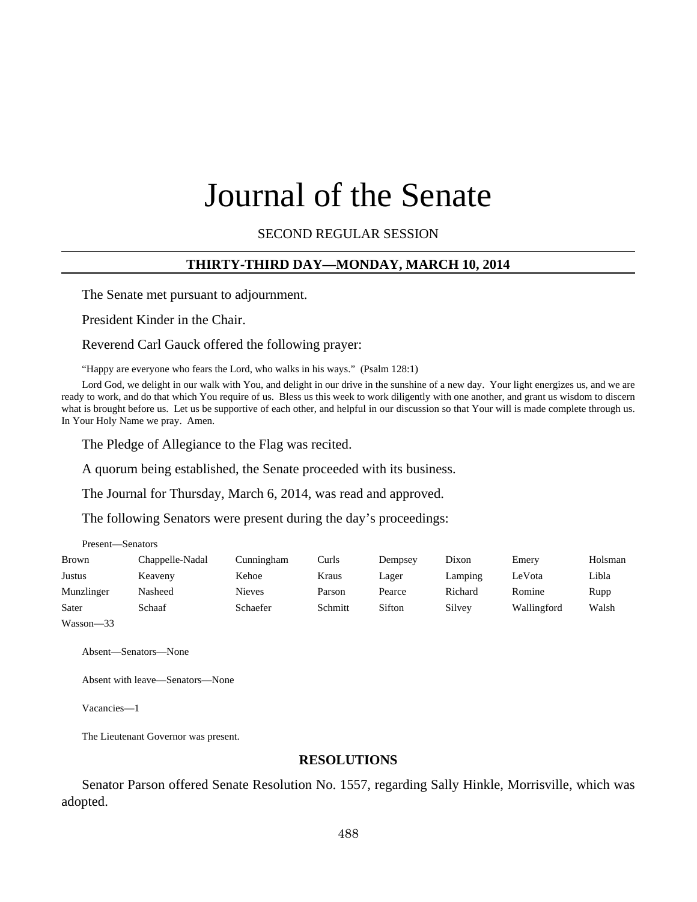# Journal of the Senate

SECOND REGULAR SESSION

## **THIRTY-THIRD DAY—MONDAY, MARCH 10, 2014**

The Senate met pursuant to adjournment.

President Kinder in the Chair.

Reverend Carl Gauck offered the following prayer:

"Happy are everyone who fears the Lord, who walks in his ways." (Psalm 128:1)

Lord God, we delight in our walk with You, and delight in our drive in the sunshine of a new day. Your light energizes us, and we are ready to work, and do that which You require of us. Bless us this week to work diligently with one another, and grant us wisdom to discern what is brought before us. Let us be supportive of each other, and helpful in our discussion so that Your will is made complete through us. In Your Holy Name we pray. Amen.

The Pledge of Allegiance to the Flag was recited.

A quorum being established, the Senate proceeded with its business.

The Journal for Thursday, March 6, 2014, was read and approved.

The following Senators were present during the day's proceedings:

| 1 1000 110   | <b>DUMADI</b>   |               |         |         |         |             |         |
|--------------|-----------------|---------------|---------|---------|---------|-------------|---------|
| <b>Brown</b> | Chappelle-Nadal | Cunningham    | Curls   | Dempsey | Dixon   | Emery       | Holsman |
| Justus       | Keaveny         | Kehoe         | Kraus   | Lager   | Lamping | LeVota      | Libla   |
| Munzlinger   | Nasheed         | <b>Nieves</b> | Parson  | Pearce  | Richard | Romine      | Rupp    |
| Sater        | Schaaf          | Schaefer      | Schmitt | Sifton  | Silvey  | Wallingford | Walsh   |
| $W$ asson—33 |                 |               |         |         |         |             |         |

Present—Senators

Absent—Senators—None

Absent with leave—Senators—None

Vacancies—1

The Lieutenant Governor was present.

#### **RESOLUTIONS**

Senator Parson offered Senate Resolution No. 1557, regarding Sally Hinkle, Morrisville, which was adopted.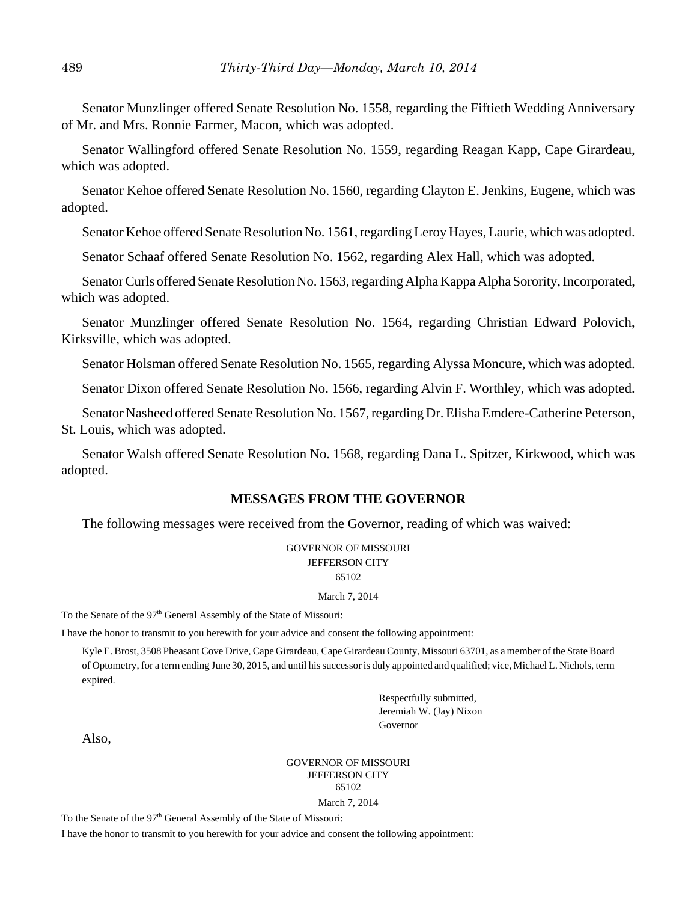Senator Munzlinger offered Senate Resolution No. 1558, regarding the Fiftieth Wedding Anniversary of Mr. and Mrs. Ronnie Farmer, Macon, which was adopted.

Senator Wallingford offered Senate Resolution No. 1559, regarding Reagan Kapp, Cape Girardeau, which was adopted.

Senator Kehoe offered Senate Resolution No. 1560, regarding Clayton E. Jenkins, Eugene, which was adopted.

Senator Kehoe offered Senate Resolution No. 1561, regarding Leroy Hayes, Laurie, which was adopted.

Senator Schaaf offered Senate Resolution No. 1562, regarding Alex Hall, which was adopted.

Senator Curls offered Senate Resolution No. 1563, regarding Alpha Kappa Alpha Sorority, Incorporated, which was adopted.

Senator Munzlinger offered Senate Resolution No. 1564, regarding Christian Edward Polovich, Kirksville, which was adopted.

Senator Holsman offered Senate Resolution No. 1565, regarding Alyssa Moncure, which was adopted.

Senator Dixon offered Senate Resolution No. 1566, regarding Alvin F. Worthley, which was adopted.

Senator Nasheed offered Senate Resolution No. 1567, regarding Dr. Elisha Emdere-Catherine Peterson, St. Louis, which was adopted.

Senator Walsh offered Senate Resolution No. 1568, regarding Dana L. Spitzer, Kirkwood, which was adopted.

#### **MESSAGES FROM THE GOVERNOR**

The following messages were received from the Governor, reading of which was waived:

#### GOVERNOR OF MISSOURI JEFFERSON CITY 65102

#### March 7, 2014

To the Senate of the 97<sup>th</sup> General Assembly of the State of Missouri:

I have the honor to transmit to you herewith for your advice and consent the following appointment:

Kyle E. Brost, 3508 Pheasant Cove Drive, Cape Girardeau, Cape Girardeau County, Missouri 63701, as a member of the State Board of Optometry, for a term ending June 30, 2015, and until his successor is duly appointed and qualified; vice, Michael L. Nichols, term expired.

> Respectfully submitted, Jeremiah W. (Jay) Nixon Governor

Also,

GOVERNOR OF MISSOURI JEFFERSON CITY 65102

March 7, 2014

To the Senate of the 97<sup>th</sup> General Assembly of the State of Missouri:

I have the honor to transmit to you herewith for your advice and consent the following appointment: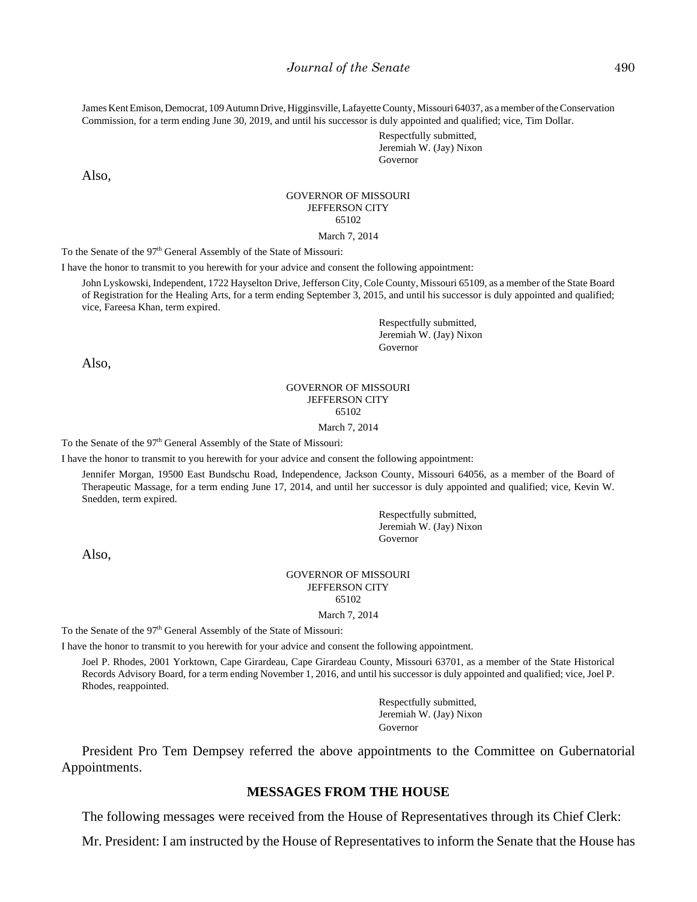James Kent Emison, Democrat, 109 Autumn Drive, Higginsville, Lafayette County, Missouri 64037, as a member of the Conservation Commission, for a term ending June 30, 2019, and until his successor is duly appointed and qualified; vice, Tim Dollar.

> Respectfully submitted, Jeremiah W. (Jay) Nixon Governor

Also,

#### GOVERNOR OF MISSOURI JEFFERSON CITY 65102 March 7, 2014

To the Senate of the 97<sup>th</sup> General Assembly of the State of Missouri:

I have the honor to transmit to you herewith for your advice and consent the following appointment:

John Lyskowski, Independent, 1722 Hayselton Drive, Jefferson City, Cole County, Missouri 65109, as a member of the State Board of Registration for the Healing Arts, for a term ending September 3, 2015, and until his successor is duly appointed and qualified; vice, Fareesa Khan, term expired.

> Respectfully submitted, Jeremiah W. (Jay) Nixon Governor

Also,

#### GOVERNOR OF MISSOURI JEFFERSON CITY 65102

March 7, 2014

To the Senate of the 97<sup>th</sup> General Assembly of the State of Missouri:

I have the honor to transmit to you herewith for your advice and consent the following appointment:

Jennifer Morgan, 19500 East Bundschu Road, Independence, Jackson County, Missouri 64056, as a member of the Board of Therapeutic Massage, for a term ending June 17, 2014, and until her successor is duly appointed and qualified; vice, Kevin W. Snedden, term expired.

> Respectfully submitted, Jeremiah W. (Jay) Nixon Governor

Also,

#### GOVERNOR OF MISSOURI JEFFERSON CITY 65102

March 7, 2014

To the Senate of the 97<sup>th</sup> General Assembly of the State of Missouri:

I have the honor to transmit to you herewith for your advice and consent the following appointment.

Joel P. Rhodes, 2001 Yorktown, Cape Girardeau, Cape Girardeau County, Missouri 63701, as a member of the State Historical Records Advisory Board, for a term ending November 1, 2016, and until his successor is duly appointed and qualified; vice, Joel P. Rhodes, reappointed.

> Respectfully submitted, Jeremiah W. (Jay) Nixon Governor

President Pro Tem Dempsey referred the above appointments to the Committee on Gubernatorial Appointments.

### **MESSAGES FROM THE HOUSE**

The following messages were received from the House of Representatives through its Chief Clerk:

Mr. President: I am instructed by the House of Representatives to inform the Senate that the House has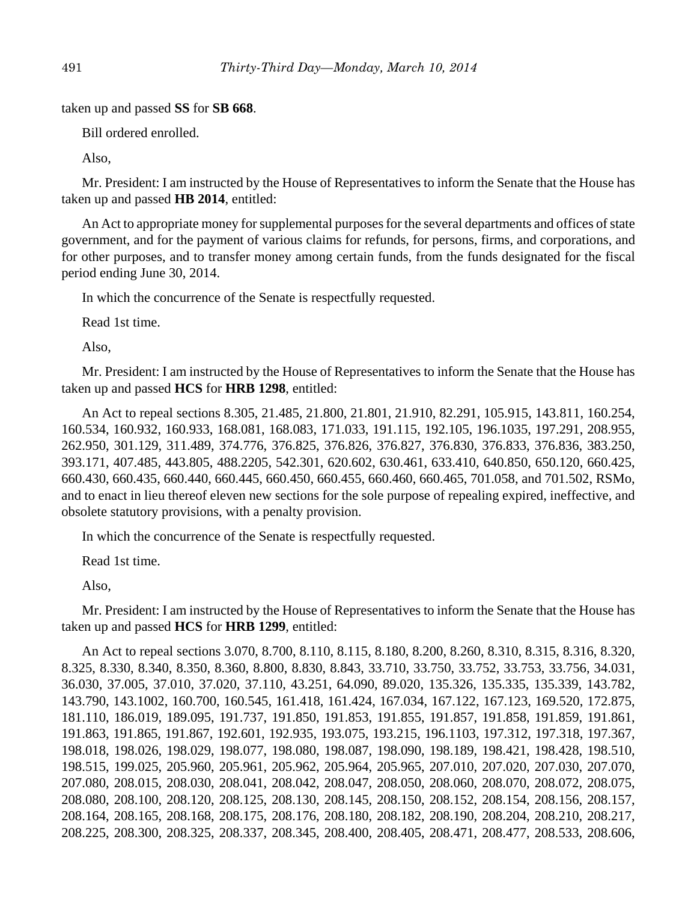taken up and passed **SS** for **SB 668**.

Bill ordered enrolled.

Also,

Mr. President: I am instructed by the House of Representatives to inform the Senate that the House has taken up and passed **HB 2014**, entitled:

An Act to appropriate money for supplemental purposes for the several departments and offices of state government, and for the payment of various claims for refunds, for persons, firms, and corporations, and for other purposes, and to transfer money among certain funds, from the funds designated for the fiscal period ending June 30, 2014.

In which the concurrence of the Senate is respectfully requested.

Read 1st time.

Also,

Mr. President: I am instructed by the House of Representatives to inform the Senate that the House has taken up and passed **HCS** for **HRB 1298**, entitled:

An Act to repeal sections 8.305, 21.485, 21.800, 21.801, 21.910, 82.291, 105.915, 143.811, 160.254, 160.534, 160.932, 160.933, 168.081, 168.083, 171.033, 191.115, 192.105, 196.1035, 197.291, 208.955, 262.950, 301.129, 311.489, 374.776, 376.825, 376.826, 376.827, 376.830, 376.833, 376.836, 383.250, 393.171, 407.485, 443.805, 488.2205, 542.301, 620.602, 630.461, 633.410, 640.850, 650.120, 660.425, 660.430, 660.435, 660.440, 660.445, 660.450, 660.455, 660.460, 660.465, 701.058, and 701.502, RSMo, and to enact in lieu thereof eleven new sections for the sole purpose of repealing expired, ineffective, and obsolete statutory provisions, with a penalty provision.

In which the concurrence of the Senate is respectfully requested.

Read 1st time.

Also,

Mr. President: I am instructed by the House of Representatives to inform the Senate that the House has taken up and passed **HCS** for **HRB 1299**, entitled:

An Act to repeal sections 3.070, 8.700, 8.110, 8.115, 8.180, 8.200, 8.260, 8.310, 8.315, 8.316, 8.320, 8.325, 8.330, 8.340, 8.350, 8.360, 8.800, 8.830, 8.843, 33.710, 33.750, 33.752, 33.753, 33.756, 34.031, 36.030, 37.005, 37.010, 37.020, 37.110, 43.251, 64.090, 89.020, 135.326, 135.335, 135.339, 143.782, 143.790, 143.1002, 160.700, 160.545, 161.418, 161.424, 167.034, 167.122, 167.123, 169.520, 172.875, 181.110, 186.019, 189.095, 191.737, 191.850, 191.853, 191.855, 191.857, 191.858, 191.859, 191.861, 191.863, 191.865, 191.867, 192.601, 192.935, 193.075, 193.215, 196.1103, 197.312, 197.318, 197.367, 198.018, 198.026, 198.029, 198.077, 198.080, 198.087, 198.090, 198.189, 198.421, 198.428, 198.510, 198.515, 199.025, 205.960, 205.961, 205.962, 205.964, 205.965, 207.010, 207.020, 207.030, 207.070, 207.080, 208.015, 208.030, 208.041, 208.042, 208.047, 208.050, 208.060, 208.070, 208.072, 208.075, 208.080, 208.100, 208.120, 208.125, 208.130, 208.145, 208.150, 208.152, 208.154, 208.156, 208.157, 208.164, 208.165, 208.168, 208.175, 208.176, 208.180, 208.182, 208.190, 208.204, 208.210, 208.217, 208.225, 208.300, 208.325, 208.337, 208.345, 208.400, 208.405, 208.471, 208.477, 208.533, 208.606,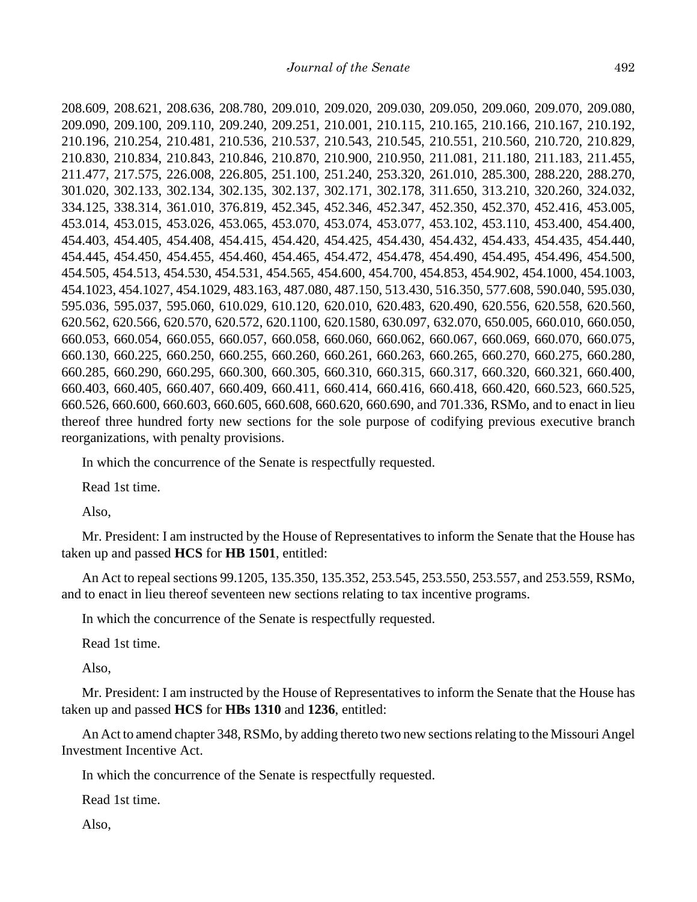208.609, 208.621, 208.636, 208.780, 209.010, 209.020, 209.030, 209.050, 209.060, 209.070, 209.080, 209.090, 209.100, 209.110, 209.240, 209.251, 210.001, 210.115, 210.165, 210.166, 210.167, 210.192, 210.196, 210.254, 210.481, 210.536, 210.537, 210.543, 210.545, 210.551, 210.560, 210.720, 210.829, 210.830, 210.834, 210.843, 210.846, 210.870, 210.900, 210.950, 211.081, 211.180, 211.183, 211.455, 211.477, 217.575, 226.008, 226.805, 251.100, 251.240, 253.320, 261.010, 285.300, 288.220, 288.270, 301.020, 302.133, 302.134, 302.135, 302.137, 302.171, 302.178, 311.650, 313.210, 320.260, 324.032, 334.125, 338.314, 361.010, 376.819, 452.345, 452.346, 452.347, 452.350, 452.370, 452.416, 453.005, 453.014, 453.015, 453.026, 453.065, 453.070, 453.074, 453.077, 453.102, 453.110, 453.400, 454.400, 454.403, 454.405, 454.408, 454.415, 454.420, 454.425, 454.430, 454.432, 454.433, 454.435, 454.440, 454.445, 454.450, 454.455, 454.460, 454.465, 454.472, 454.478, 454.490, 454.495, 454.496, 454.500, 454.505, 454.513, 454.530, 454.531, 454.565, 454.600, 454.700, 454.853, 454.902, 454.1000, 454.1003, 454.1023, 454.1027, 454.1029, 483.163, 487.080, 487.150, 513.430, 516.350, 577.608, 590.040, 595.030, 595.036, 595.037, 595.060, 610.029, 610.120, 620.010, 620.483, 620.490, 620.556, 620.558, 620.560, 620.562, 620.566, 620.570, 620.572, 620.1100, 620.1580, 630.097, 632.070, 650.005, 660.010, 660.050, 660.053, 660.054, 660.055, 660.057, 660.058, 660.060, 660.062, 660.067, 660.069, 660.070, 660.075, 660.130, 660.225, 660.250, 660.255, 660.260, 660.261, 660.263, 660.265, 660.270, 660.275, 660.280, 660.285, 660.290, 660.295, 660.300, 660.305, 660.310, 660.315, 660.317, 660.320, 660.321, 660.400, 660.403, 660.405, 660.407, 660.409, 660.411, 660.414, 660.416, 660.418, 660.420, 660.523, 660.525, 660.526, 660.600, 660.603, 660.605, 660.608, 660.620, 660.690, and 701.336, RSMo, and to enact in lieu thereof three hundred forty new sections for the sole purpose of codifying previous executive branch reorganizations, with penalty provisions.

In which the concurrence of the Senate is respectfully requested.

Read 1st time.

Also,

Mr. President: I am instructed by the House of Representatives to inform the Senate that the House has taken up and passed **HCS** for **HB 1501**, entitled:

An Act to repeal sections 99.1205, 135.350, 135.352, 253.545, 253.550, 253.557, and 253.559, RSMo, and to enact in lieu thereof seventeen new sections relating to tax incentive programs.

In which the concurrence of the Senate is respectfully requested.

Read 1st time.

Also,

Mr. President: I am instructed by the House of Representatives to inform the Senate that the House has taken up and passed **HCS** for **HBs 1310** and **1236**, entitled:

An Act to amend chapter 348, RSMo, by adding thereto two new sections relating to the Missouri Angel Investment Incentive Act.

In which the concurrence of the Senate is respectfully requested.

Read 1st time.

Also,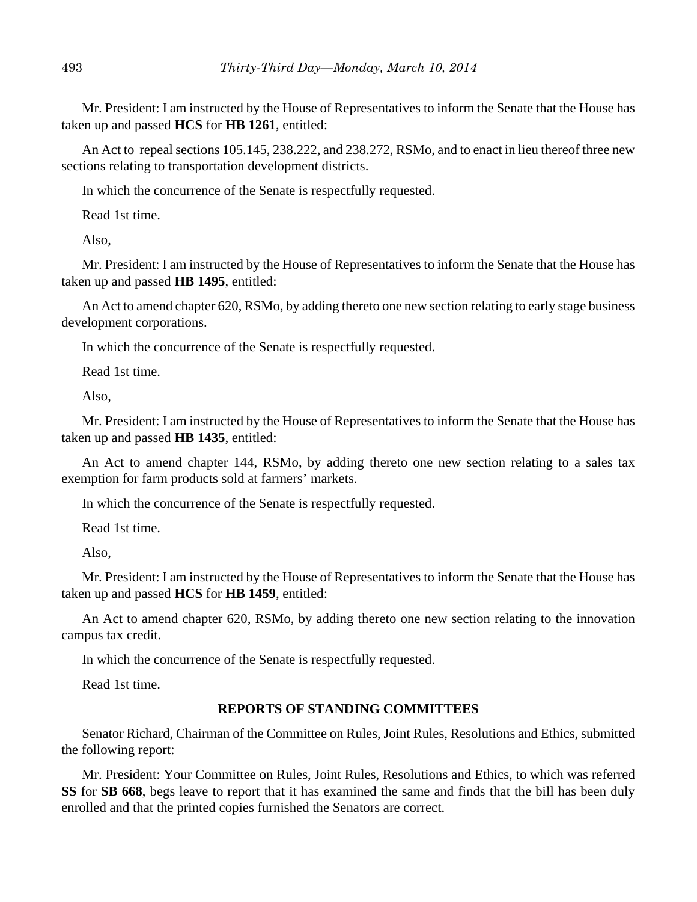Mr. President: I am instructed by the House of Representatives to inform the Senate that the House has taken up and passed **HCS** for **HB 1261**, entitled:

An Act to repeal sections 105.145, 238.222, and 238.272, RSMo, and to enact in lieu thereof three new sections relating to transportation development districts.

In which the concurrence of the Senate is respectfully requested.

Read 1st time.

Also,

Mr. President: I am instructed by the House of Representatives to inform the Senate that the House has taken up and passed **HB 1495**, entitled:

An Act to amend chapter 620, RSMo, by adding thereto one new section relating to early stage business development corporations.

In which the concurrence of the Senate is respectfully requested.

Read 1st time.

Also,

Mr. President: I am instructed by the House of Representatives to inform the Senate that the House has taken up and passed **HB 1435**, entitled:

An Act to amend chapter 144, RSMo, by adding thereto one new section relating to a sales tax exemption for farm products sold at farmers' markets.

In which the concurrence of the Senate is respectfully requested.

Read 1st time.

Also,

Mr. President: I am instructed by the House of Representatives to inform the Senate that the House has taken up and passed **HCS** for **HB 1459**, entitled:

An Act to amend chapter 620, RSMo, by adding thereto one new section relating to the innovation campus tax credit.

In which the concurrence of the Senate is respectfully requested.

Read 1st time.

# **REPORTS OF STANDING COMMITTEES**

Senator Richard, Chairman of the Committee on Rules, Joint Rules, Resolutions and Ethics, submitted the following report:

Mr. President: Your Committee on Rules, Joint Rules, Resolutions and Ethics, to which was referred **SS** for **SB 668**, begs leave to report that it has examined the same and finds that the bill has been duly enrolled and that the printed copies furnished the Senators are correct.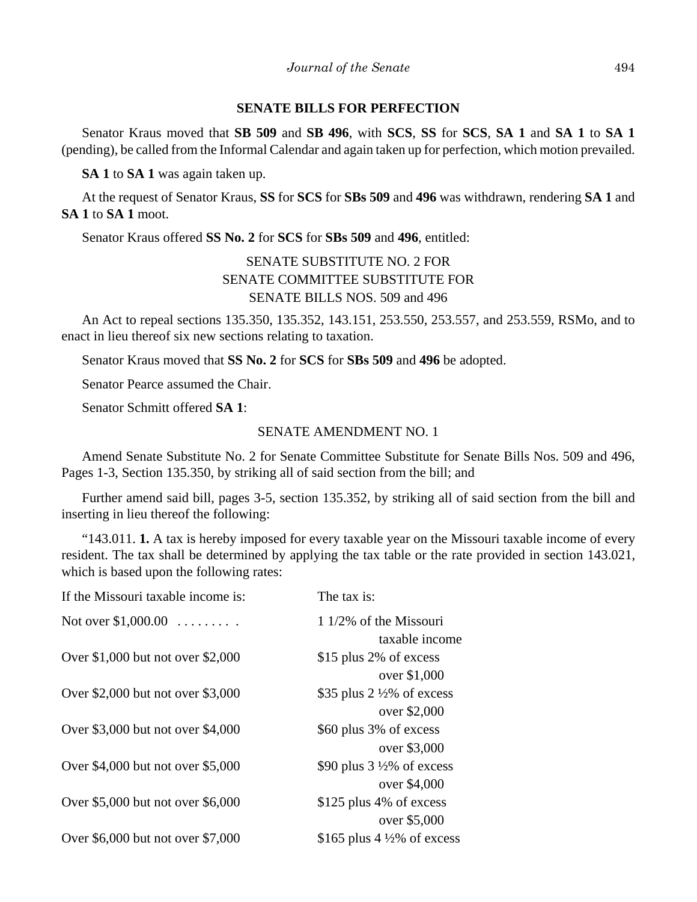## **SENATE BILLS FOR PERFECTION**

Senator Kraus moved that **SB 509** and **SB 496**, with **SCS**, **SS** for **SCS**, **SA 1** and **SA 1** to **SA 1** (pending), be called from the Informal Calendar and again taken up for perfection, which motion prevailed.

**SA 1** to **SA 1** was again taken up.

At the request of Senator Kraus, **SS** for **SCS** for **SBs 509** and **496** was withdrawn, rendering **SA 1** and **SA 1** to **SA 1** moot.

Senator Kraus offered **SS No. 2** for **SCS** for **SBs 509** and **496**, entitled:

# SENATE SUBSTITUTE NO. 2 FOR SENATE COMMITTEE SUBSTITUTE FOR SENATE BILLS NOS. 509 and 496

An Act to repeal sections 135.350, 135.352, 143.151, 253.550, 253.557, and 253.559, RSMo, and to enact in lieu thereof six new sections relating to taxation.

Senator Kraus moved that **SS No. 2** for **SCS** for **SBs 509** and **496** be adopted.

Senator Pearce assumed the Chair.

Senator Schmitt offered **SA 1**:

# SENATE AMENDMENT NO. 1

Amend Senate Substitute No. 2 for Senate Committee Substitute for Senate Bills Nos. 509 and 496, Pages 1-3, Section 135.350, by striking all of said section from the bill; and

Further amend said bill, pages 3-5, section 135.352, by striking all of said section from the bill and inserting in lieu thereof the following:

"143.011. **1.** A tax is hereby imposed for every taxable year on the Missouri taxable income of every resident. The tax shall be determined by applying the tax table or the rate provided in section 143.021, which is based upon the following rates:

| If the Missouri taxable income is: | The tax is:                            |
|------------------------------------|----------------------------------------|
| Not over $$1,000.00$               | 1 1/2% of the Missouri                 |
|                                    | taxable income                         |
| Over \$1,000 but not over \$2,000  | \$15 plus 2% of excess                 |
|                                    | over \$1,000                           |
| Over \$2,000 but not over \$3,000  | \$35 plus $2\frac{1}{2}\%$ of excess   |
|                                    | over \$2,000                           |
| Over \$3,000 but not over \$4,000  | \$60 plus 3% of excess                 |
|                                    | over \$3,000                           |
| Over \$4,000 but not over \$5,000  | \$90 plus $3\frac{1}{2}\%$ of excess   |
|                                    | over \$4,000                           |
| Over \$5,000 but not over \$6,000  | \$125 plus 4% of excess                |
|                                    | over \$5,000                           |
| Over \$6,000 but not over \$7,000  | \$165 plus 4 $\frac{1}{2}$ % of excess |
|                                    |                                        |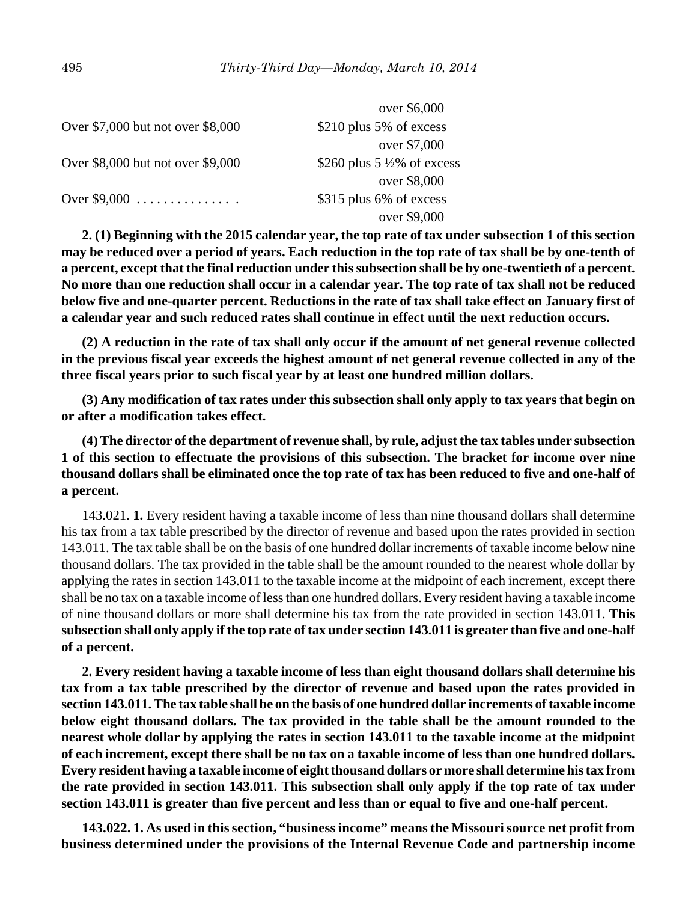|                                   | over \$6,000                          |
|-----------------------------------|---------------------------------------|
| Over \$7,000 but not over \$8,000 | \$210 plus 5% of excess               |
|                                   | over \$7,000                          |
| Over \$8,000 but not over \$9,000 | \$260 plus $5\frac{1}{2}\%$ of excess |
|                                   | over \$8,000                          |
| Over $$9,000$                     | \$315 plus 6% of excess               |
|                                   | over \$9,000                          |

**2. (1) Beginning with the 2015 calendar year, the top rate of tax under subsection 1 of this section may be reduced over a period of years. Each reduction in the top rate of tax shall be by one-tenth of a percent, except that the final reduction under this subsection shall be by one-twentieth of a percent. No more than one reduction shall occur in a calendar year. The top rate of tax shall not be reduced below five and one-quarter percent. Reductions in the rate of tax shall take effect on January first of a calendar year and such reduced rates shall continue in effect until the next reduction occurs.**

**(2) A reduction in the rate of tax shall only occur if the amount of net general revenue collected in the previous fiscal year exceeds the highest amount of net general revenue collected in any of the three fiscal years prior to such fiscal year by at least one hundred million dollars.**

**(3) Any modification of tax rates under this subsection shall only apply to tax years that begin on or after a modification takes effect.**

**(4) The director of the department of revenue shall, by rule, adjust the tax tables under subsection 1 of this section to effectuate the provisions of this subsection. The bracket for income over nine thousand dollars shall be eliminated once the top rate of tax has been reduced to five and one-half of a percent.**

143.021. **1.** Every resident having a taxable income of less than nine thousand dollars shall determine his tax from a tax table prescribed by the director of revenue and based upon the rates provided in section 143.011. The tax table shall be on the basis of one hundred dollar increments of taxable income below nine thousand dollars. The tax provided in the table shall be the amount rounded to the nearest whole dollar by applying the rates in section 143.011 to the taxable income at the midpoint of each increment, except there shall be no tax on a taxable income of less than one hundred dollars. Every resident having a taxable income of nine thousand dollars or more shall determine his tax from the rate provided in section 143.011. **This subsection shall only apply if the top rate of tax under section 143.011 is greater than five and one-half of a percent.**

**2. Every resident having a taxable income of less than eight thousand dollars shall determine his tax from a tax table prescribed by the director of revenue and based upon the rates provided in section 143.011. The tax table shall be on the basis of one hundred dollar increments of taxable income below eight thousand dollars. The tax provided in the table shall be the amount rounded to the nearest whole dollar by applying the rates in section 143.011 to the taxable income at the midpoint of each increment, except there shall be no tax on a taxable income of less than one hundred dollars. Every resident having a taxable income of eight thousand dollars or more shall determine his tax from the rate provided in section 143.011. This subsection shall only apply if the top rate of tax under section 143.011 is greater than five percent and less than or equal to five and one-half percent.**

**143.022. 1. As used in this section, "business income" means the Missouri source net profit from business determined under the provisions of the Internal Revenue Code and partnership income**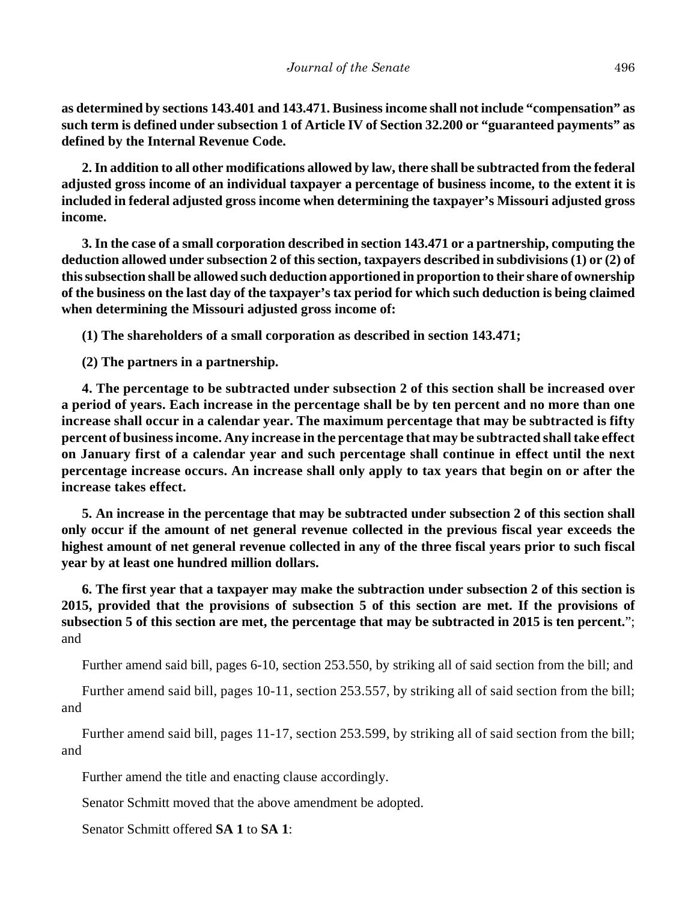**as determined by sections 143.401 and 143.471. Business income shall not include "compensation" as such term is defined under subsection 1 of Article IV of Section 32.200 or "guaranteed payments" as defined by the Internal Revenue Code.**

**2. In addition to all other modifications allowed by law, there shall be subtracted from the federal adjusted gross income of an individual taxpayer a percentage of business income, to the extent it is included in federal adjusted gross income when determining the taxpayer's Missouri adjusted gross income.**

**3. In the case of a small corporation described in section 143.471 or a partnership, computing the deduction allowed under subsection 2 of this section, taxpayers described in subdivisions (1) or (2) of this subsection shall be allowed such deduction apportioned in proportion to their share of ownership of the business on the last day of the taxpayer's tax period for which such deduction is being claimed when determining the Missouri adjusted gross income of:**

**(1) The shareholders of a small corporation as described in section 143.471;**

**(2) The partners in a partnership.**

**4. The percentage to be subtracted under subsection 2 of this section shall be increased over a period of years. Each increase in the percentage shall be by ten percent and no more than one increase shall occur in a calendar year. The maximum percentage that may be subtracted is fifty percent of business income. Any increase in the percentage that may be subtracted shall take effect on January first of a calendar year and such percentage shall continue in effect until the next percentage increase occurs. An increase shall only apply to tax years that begin on or after the increase takes effect.**

**5. An increase in the percentage that may be subtracted under subsection 2 of this section shall only occur if the amount of net general revenue collected in the previous fiscal year exceeds the highest amount of net general revenue collected in any of the three fiscal years prior to such fiscal year by at least one hundred million dollars.**

**6. The first year that a taxpayer may make the subtraction under subsection 2 of this section is 2015, provided that the provisions of subsection 5 of this section are met. If the provisions of subsection 5 of this section are met, the percentage that may be subtracted in 2015 is ten percent.**"; and

Further amend said bill, pages 6-10, section 253.550, by striking all of said section from the bill; and

Further amend said bill, pages 10-11, section 253.557, by striking all of said section from the bill; and

Further amend said bill, pages 11-17, section 253.599, by striking all of said section from the bill; and

Further amend the title and enacting clause accordingly.

Senator Schmitt moved that the above amendment be adopted.

Senator Schmitt offered **SA 1** to **SA 1**: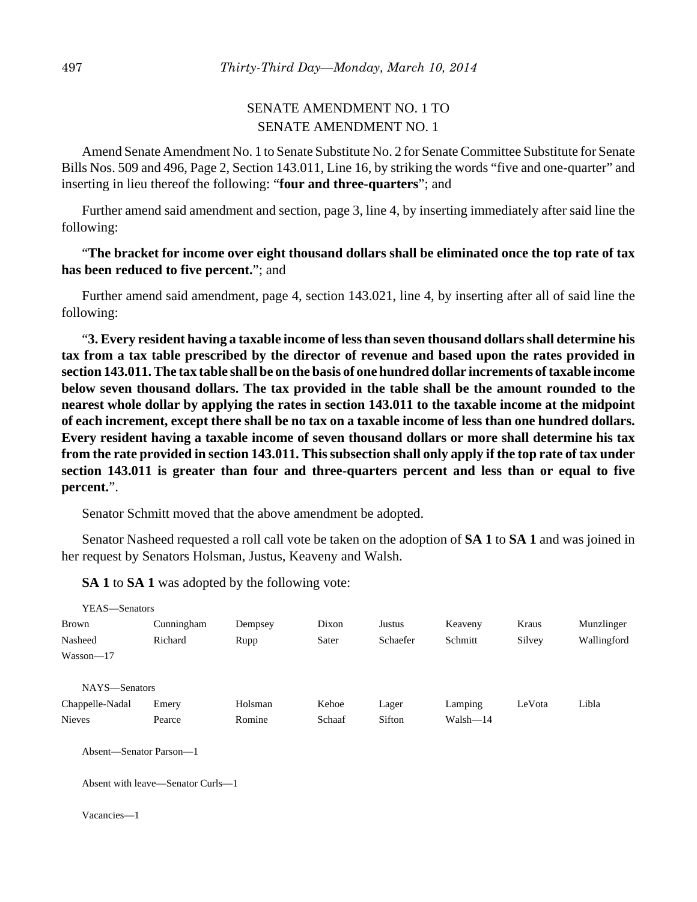# SENATE AMENDMENT NO. 1 TO SENATE AMENDMENT NO. 1

Amend Senate Amendment No. 1 to Senate Substitute No. 2 for Senate Committee Substitute for Senate Bills Nos. 509 and 496, Page 2, Section 143.011, Line 16, by striking the words "five and one-quarter" and inserting in lieu thereof the following: "**four and three-quarters**"; and

Further amend said amendment and section, page 3, line 4, by inserting immediately after said line the following:

# "**The bracket for income over eight thousand dollars shall be eliminated once the top rate of tax has been reduced to five percent.**"; and

Further amend said amendment, page 4, section 143.021, line 4, by inserting after all of said line the following:

"**3. Every resident having a taxable income of less than seven thousand dollars shall determine his tax from a tax table prescribed by the director of revenue and based upon the rates provided in section 143.011. The tax table shall be on the basis of one hundred dollar increments of taxable income below seven thousand dollars. The tax provided in the table shall be the amount rounded to the nearest whole dollar by applying the rates in section 143.011 to the taxable income at the midpoint of each increment, except there shall be no tax on a taxable income of less than one hundred dollars. Every resident having a taxable income of seven thousand dollars or more shall determine his tax from the rate provided in section 143.011. This subsection shall only apply if the top rate of tax under section 143.011 is greater than four and three-quarters percent and less than or equal to five percent.**".

Senator Schmitt moved that the above amendment be adopted.

Senator Nasheed requested a roll call vote be taken on the adoption of **SA 1** to **SA 1** and was joined in her request by Senators Holsman, Justus, Keaveny and Walsh.

| YEAS-Senators                     |            |         |        |          |              |        |             |
|-----------------------------------|------------|---------|--------|----------|--------------|--------|-------------|
| Brown                             | Cunningham | Dempsey | Dixon  | Justus   | Keaveny      | Kraus  | Munzlinger  |
| Nasheed                           | Richard    | Rupp    | Sater  | Schaefer | Schmitt      | Silvey | Wallingford |
| $Wasson - 17$                     |            |         |        |          |              |        |             |
| NAYS-Senators                     |            |         |        |          |              |        |             |
| Chappelle-Nadal                   | Emery      | Holsman | Kehoe  | Lager    | Lamping      | LeVota | Libla       |
| <b>Nieves</b>                     | Pearce     | Romine  | Schaaf | Sifton   | $Walsh - 14$ |        |             |
| Absent-Senator Parson-1           |            |         |        |          |              |        |             |
| Absent with leave—Senator Curls—1 |            |         |        |          |              |        |             |
| Vacancies-1                       |            |         |        |          |              |        |             |
|                                   |            |         |        |          |              |        |             |

**SA 1** to **SA 1** was adopted by the following vote: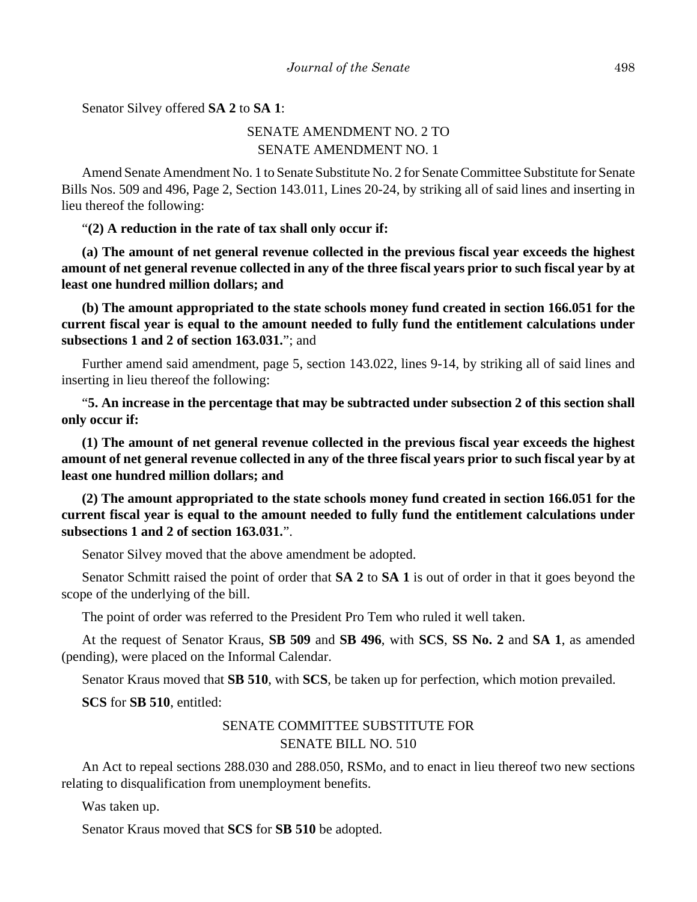Senator Silvey offered **SA 2** to **SA 1**:

# SENATE AMENDMENT NO. 2 TO SENATE AMENDMENT NO. 1

Amend Senate Amendment No. 1 to Senate Substitute No. 2 for Senate Committee Substitute for Senate Bills Nos. 509 and 496, Page 2, Section 143.011, Lines 20-24, by striking all of said lines and inserting in lieu thereof the following:

"**(2) A reduction in the rate of tax shall only occur if:**

**(a) The amount of net general revenue collected in the previous fiscal year exceeds the highest amount of net general revenue collected in any of the three fiscal years prior to such fiscal year by at least one hundred million dollars; and**

**(b) The amount appropriated to the state schools money fund created in section 166.051 for the current fiscal year is equal to the amount needed to fully fund the entitlement calculations under subsections 1 and 2 of section 163.031.**"; and

Further amend said amendment, page 5, section 143.022, lines 9-14, by striking all of said lines and inserting in lieu thereof the following:

"**5. An increase in the percentage that may be subtracted under subsection 2 of this section shall only occur if:**

**(1) The amount of net general revenue collected in the previous fiscal year exceeds the highest amount of net general revenue collected in any of the three fiscal years prior to such fiscal year by at least one hundred million dollars; and**

**(2) The amount appropriated to the state schools money fund created in section 166.051 for the current fiscal year is equal to the amount needed to fully fund the entitlement calculations under subsections 1 and 2 of section 163.031.**".

Senator Silvey moved that the above amendment be adopted.

Senator Schmitt raised the point of order that **SA 2** to **SA 1** is out of order in that it goes beyond the scope of the underlying of the bill.

The point of order was referred to the President Pro Tem who ruled it well taken.

At the request of Senator Kraus, **SB 509** and **SB 496**, with **SCS**, **SS No. 2** and **SA 1**, as amended (pending), were placed on the Informal Calendar.

Senator Kraus moved that **SB 510**, with **SCS**, be taken up for perfection, which motion prevailed.

**SCS** for **SB 510**, entitled:

# SENATE COMMITTEE SUBSTITUTE FOR SENATE BILL NO. 510

An Act to repeal sections 288.030 and 288.050, RSMo, and to enact in lieu thereof two new sections relating to disqualification from unemployment benefits.

Was taken up.

Senator Kraus moved that **SCS** for **SB 510** be adopted.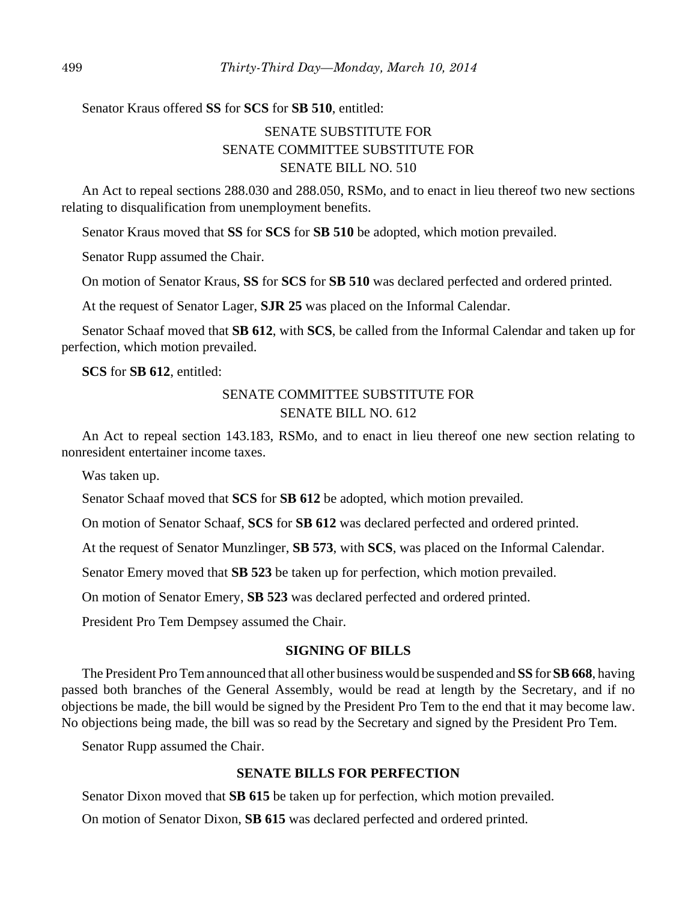Senator Kraus offered **SS** for **SCS** for **SB 510**, entitled:

# SENATE SUBSTITUTE FOR SENATE COMMITTEE SUBSTITUTE FOR SENATE BILL NO. 510

An Act to repeal sections 288.030 and 288.050, RSMo, and to enact in lieu thereof two new sections relating to disqualification from unemployment benefits.

Senator Kraus moved that **SS** for **SCS** for **SB 510** be adopted, which motion prevailed.

Senator Rupp assumed the Chair.

On motion of Senator Kraus, **SS** for **SCS** for **SB 510** was declared perfected and ordered printed.

At the request of Senator Lager, **SJR 25** was placed on the Informal Calendar.

Senator Schaaf moved that **SB 612**, with **SCS**, be called from the Informal Calendar and taken up for perfection, which motion prevailed.

**SCS** for **SB 612**, entitled:

# SENATE COMMITTEE SUBSTITUTE FOR SENATE BILL NO. 612

An Act to repeal section 143.183, RSMo, and to enact in lieu thereof one new section relating to nonresident entertainer income taxes.

Was taken up.

Senator Schaaf moved that **SCS** for **SB 612** be adopted, which motion prevailed.

On motion of Senator Schaaf, **SCS** for **SB 612** was declared perfected and ordered printed.

At the request of Senator Munzlinger, **SB 573**, with **SCS**, was placed on the Informal Calendar.

Senator Emery moved that **SB 523** be taken up for perfection, which motion prevailed.

On motion of Senator Emery, **SB 523** was declared perfected and ordered printed.

President Pro Tem Dempsey assumed the Chair.

## **SIGNING OF BILLS**

The President Pro Tem announced that all other business would be suspended and **SS** for **SB 668**, having passed both branches of the General Assembly, would be read at length by the Secretary, and if no objections be made, the bill would be signed by the President Pro Tem to the end that it may become law. No objections being made, the bill was so read by the Secretary and signed by the President Pro Tem.

Senator Rupp assumed the Chair.

# **SENATE BILLS FOR PERFECTION**

Senator Dixon moved that **SB 615** be taken up for perfection, which motion prevailed.

On motion of Senator Dixon, **SB 615** was declared perfected and ordered printed.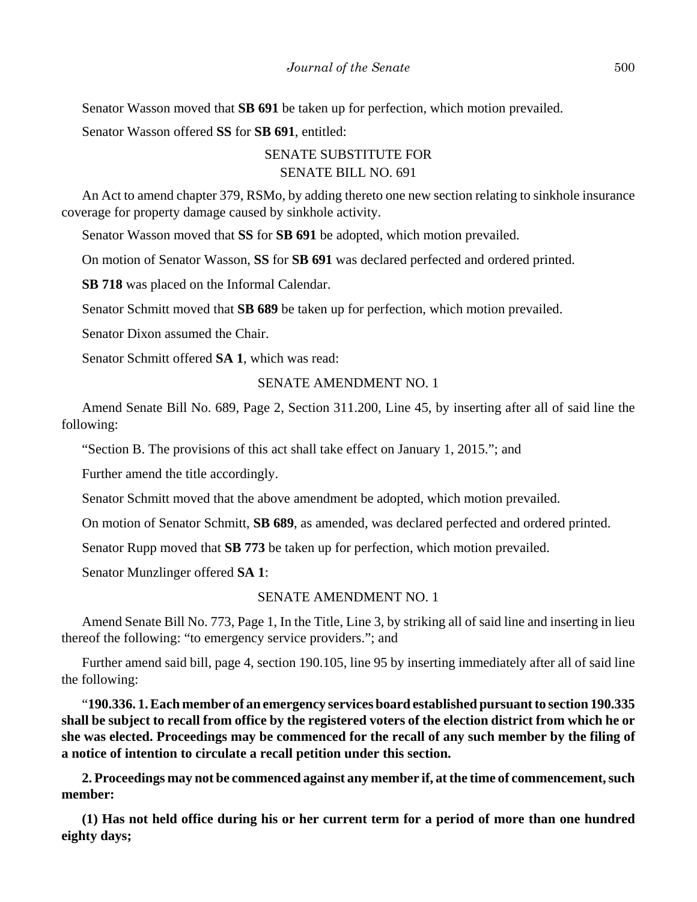Senator Wasson moved that **SB 691** be taken up for perfection, which motion prevailed. Senator Wasson offered **SS** for **SB 691**, entitled:

# SENATE SUBSTITUTE FOR SENATE BILL NO. 691

An Act to amend chapter 379, RSMo, by adding thereto one new section relating to sinkhole insurance coverage for property damage caused by sinkhole activity.

Senator Wasson moved that **SS** for **SB 691** be adopted, which motion prevailed.

On motion of Senator Wasson, **SS** for **SB 691** was declared perfected and ordered printed.

**SB 718** was placed on the Informal Calendar.

Senator Schmitt moved that **SB 689** be taken up for perfection, which motion prevailed.

Senator Dixon assumed the Chair.

Senator Schmitt offered **SA 1**, which was read:

## SENATE AMENDMENT NO. 1

Amend Senate Bill No. 689, Page 2, Section 311.200, Line 45, by inserting after all of said line the following:

"Section B. The provisions of this act shall take effect on January 1, 2015."; and

Further amend the title accordingly.

Senator Schmitt moved that the above amendment be adopted, which motion prevailed.

On motion of Senator Schmitt, **SB 689**, as amended, was declared perfected and ordered printed.

Senator Rupp moved that **SB 773** be taken up for perfection, which motion prevailed.

Senator Munzlinger offered **SA 1**:

## SENATE AMENDMENT NO. 1

Amend Senate Bill No. 773, Page 1, In the Title, Line 3, by striking all of said line and inserting in lieu thereof the following: "to emergency service providers."; and

Further amend said bill, page 4, section 190.105, line 95 by inserting immediately after all of said line the following:

"**190.336. 1. Each member of an emergency services board established pursuant to section 190.335 shall be subject to recall from office by the registered voters of the election district from which he or she was elected. Proceedings may be commenced for the recall of any such member by the filing of a notice of intention to circulate a recall petition under this section.**

**2. Proceedings may not be commenced against any member if, at the time of commencement, such member:**

**(1) Has not held office during his or her current term for a period of more than one hundred eighty days;**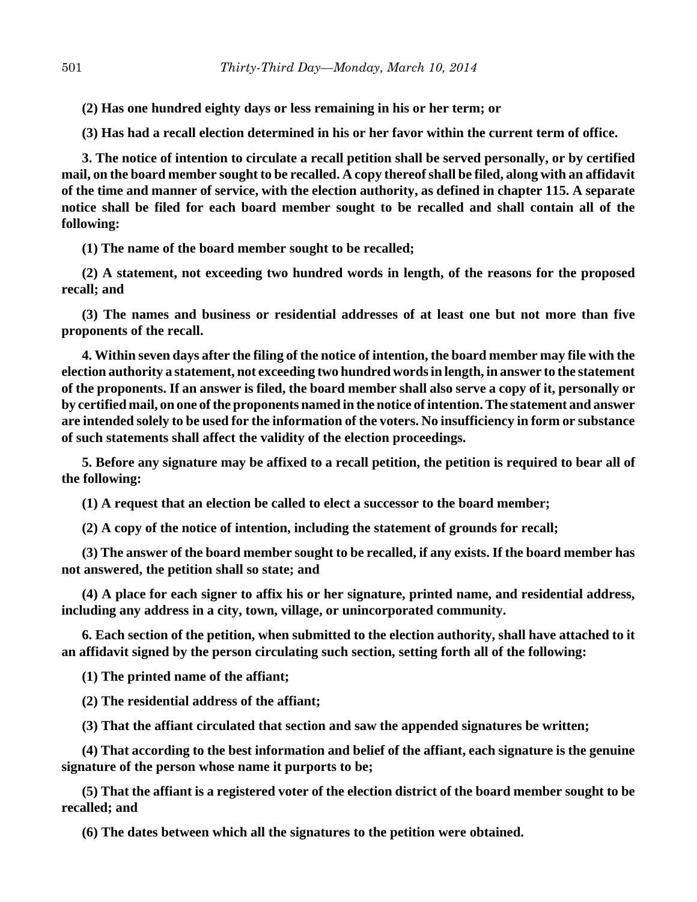**(2) Has one hundred eighty days or less remaining in his or her term; or**

**(3) Has had a recall election determined in his or her favor within the current term of office.**

**3. The notice of intention to circulate a recall petition shall be served personally, or by certified mail, on the board member sought to be recalled. A copy thereof shall be filed, along with an affidavit of the time and manner of service, with the election authority, as defined in chapter 115. A separate notice shall be filed for each board member sought to be recalled and shall contain all of the following:**

**(1) The name of the board member sought to be recalled;**

**(2) A statement, not exceeding two hundred words in length, of the reasons for the proposed recall; and**

**(3) The names and business or residential addresses of at least one but not more than five proponents of the recall.**

**4. Within seven days after the filing of the notice of intention, the board member may file with the election authority a statement, not exceeding two hundred words in length, in answer to the statement of the proponents. If an answer is filed, the board member shall also serve a copy of it, personally or by certified mail, on one of the proponents named in the notice of intention. The statement and answer are intended solely to be used for the information of the voters. No insufficiency in form or substance of such statements shall affect the validity of the election proceedings.**

**5. Before any signature may be affixed to a recall petition, the petition is required to bear all of the following:**

**(1) A request that an election be called to elect a successor to the board member;**

**(2) A copy of the notice of intention, including the statement of grounds for recall;**

**(3) The answer of the board member sought to be recalled, if any exists. If the board member has not answered, the petition shall so state; and**

**(4) A place for each signer to affix his or her signature, printed name, and residential address, including any address in a city, town, village, or unincorporated community.**

**6. Each section of the petition, when submitted to the election authority, shall have attached to it an affidavit signed by the person circulating such section, setting forth all of the following:**

**(1) The printed name of the affiant;**

**(2) The residential address of the affiant;**

**(3) That the affiant circulated that section and saw the appended signatures be written;**

**(4) That according to the best information and belief of the affiant, each signature is the genuine signature of the person whose name it purports to be;**

**(5) That the affiant is a registered voter of the election district of the board member sought to be recalled; and**

**(6) The dates between which all the signatures to the petition were obtained.**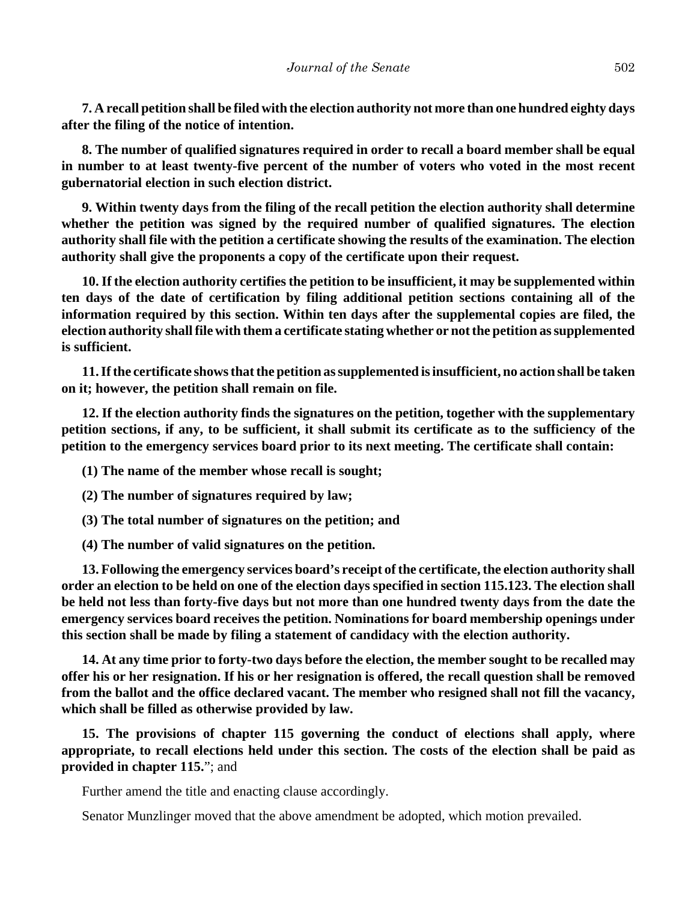**7. A recall petition shall be filed with the election authority not more than one hundred eighty days after the filing of the notice of intention.**

**8. The number of qualified signatures required in order to recall a board member shall be equal in number to at least twenty-five percent of the number of voters who voted in the most recent gubernatorial election in such election district.**

**9. Within twenty days from the filing of the recall petition the election authority shall determine whether the petition was signed by the required number of qualified signatures. The election authority shall file with the petition a certificate showing the results of the examination. The election authority shall give the proponents a copy of the certificate upon their request.**

**10. If the election authority certifies the petition to be insufficient, it may be supplemented within ten days of the date of certification by filing additional petition sections containing all of the information required by this section. Within ten days after the supplemental copies are filed, the election authority shall file with them a certificate stating whether or not the petition as supplemented is sufficient.**

**11. If the certificate shows that the petition as supplemented is insufficient, no action shall be taken on it; however, the petition shall remain on file.**

**12. If the election authority finds the signatures on the petition, together with the supplementary petition sections, if any, to be sufficient, it shall submit its certificate as to the sufficiency of the petition to the emergency services board prior to its next meeting. The certificate shall contain:**

**(1) The name of the member whose recall is sought;**

- **(2) The number of signatures required by law;**
- **(3) The total number of signatures on the petition; and**
- **(4) The number of valid signatures on the petition.**

**13. Following the emergency services board's receipt of the certificate, the election authority shall order an election to be held on one of the election days specified in section 115.123. The election shall be held not less than forty-five days but not more than one hundred twenty days from the date the emergency services board receives the petition. Nominations for board membership openings under this section shall be made by filing a statement of candidacy with the election authority.**

**14. At any time prior to forty-two days before the election, the member sought to be recalled may offer his or her resignation. If his or her resignation is offered, the recall question shall be removed from the ballot and the office declared vacant. The member who resigned shall not fill the vacancy, which shall be filled as otherwise provided by law.**

**15. The provisions of chapter 115 governing the conduct of elections shall apply, where appropriate, to recall elections held under this section. The costs of the election shall be paid as provided in chapter 115.**"; and

Further amend the title and enacting clause accordingly.

Senator Munzlinger moved that the above amendment be adopted, which motion prevailed.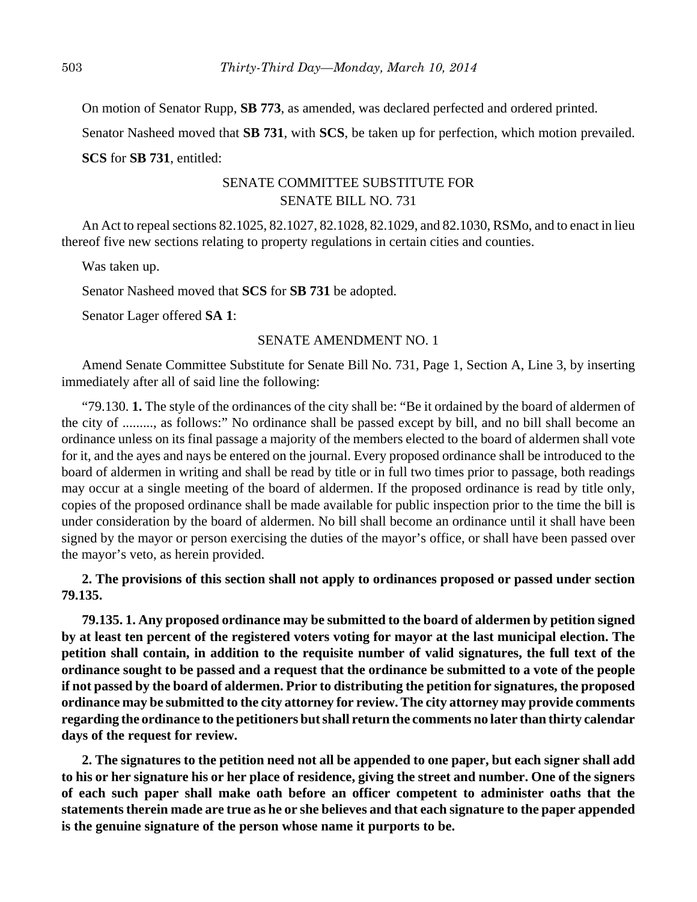On motion of Senator Rupp, **SB 773**, as amended, was declared perfected and ordered printed.

Senator Nasheed moved that **SB 731**, with **SCS**, be taken up for perfection, which motion prevailed.

**SCS** for **SB 731**, entitled:

# SENATE COMMITTEE SUBSTITUTE FOR SENATE BILL NO. 731

An Act to repeal sections 82.1025, 82.1027, 82.1028, 82.1029, and 82.1030, RSMo, and to enact in lieu thereof five new sections relating to property regulations in certain cities and counties.

Was taken up.

Senator Nasheed moved that **SCS** for **SB 731** be adopted.

Senator Lager offered **SA 1**:

## SENATE AMENDMENT NO. 1

Amend Senate Committee Substitute for Senate Bill No. 731, Page 1, Section A, Line 3, by inserting immediately after all of said line the following:

"79.130. **1.** The style of the ordinances of the city shall be: "Be it ordained by the board of aldermen of the city of ........., as follows:" No ordinance shall be passed except by bill, and no bill shall become an ordinance unless on its final passage a majority of the members elected to the board of aldermen shall vote for it, and the ayes and nays be entered on the journal. Every proposed ordinance shall be introduced to the board of aldermen in writing and shall be read by title or in full two times prior to passage, both readings may occur at a single meeting of the board of aldermen. If the proposed ordinance is read by title only, copies of the proposed ordinance shall be made available for public inspection prior to the time the bill is under consideration by the board of aldermen. No bill shall become an ordinance until it shall have been signed by the mayor or person exercising the duties of the mayor's office, or shall have been passed over the mayor's veto, as herein provided.

# **2. The provisions of this section shall not apply to ordinances proposed or passed under section 79.135.**

**79.135. 1. Any proposed ordinance may be submitted to the board of aldermen by petition signed by at least ten percent of the registered voters voting for mayor at the last municipal election. The petition shall contain, in addition to the requisite number of valid signatures, the full text of the ordinance sought to be passed and a request that the ordinance be submitted to a vote of the people if not passed by the board of aldermen. Prior to distributing the petition for signatures, the proposed ordinance may be submitted to the city attorney for review. The city attorney may provide comments regarding the ordinance to the petitioners but shall return the comments no later than thirty calendar days of the request for review.**

**2. The signatures to the petition need not all be appended to one paper, but each signer shall add to his or her signature his or her place of residence, giving the street and number. One of the signers of each such paper shall make oath before an officer competent to administer oaths that the statements therein made are true as he or she believes and that each signature to the paper appended is the genuine signature of the person whose name it purports to be.**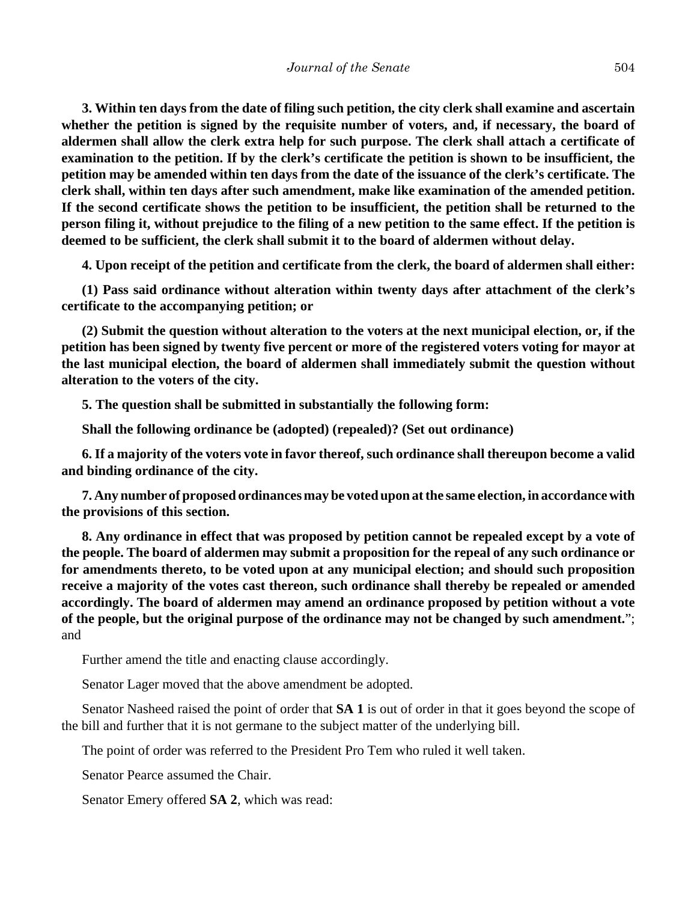**3. Within ten days from the date of filing such petition, the city clerk shall examine and ascertain whether the petition is signed by the requisite number of voters, and, if necessary, the board of aldermen shall allow the clerk extra help for such purpose. The clerk shall attach a certificate of examination to the petition. If by the clerk's certificate the petition is shown to be insufficient, the petition may be amended within ten days from the date of the issuance of the clerk's certificate. The clerk shall, within ten days after such amendment, make like examination of the amended petition. If the second certificate shows the petition to be insufficient, the petition shall be returned to the person filing it, without prejudice to the filing of a new petition to the same effect. If the petition is deemed to be sufficient, the clerk shall submit it to the board of aldermen without delay.**

**4. Upon receipt of the petition and certificate from the clerk, the board of aldermen shall either:**

**(1) Pass said ordinance without alteration within twenty days after attachment of the clerk's certificate to the accompanying petition; or**

**(2) Submit the question without alteration to the voters at the next municipal election, or, if the petition has been signed by twenty five percent or more of the registered voters voting for mayor at the last municipal election, the board of aldermen shall immediately submit the question without alteration to the voters of the city.**

**5. The question shall be submitted in substantially the following form:**

**Shall the following ordinance be (adopted) (repealed)? (Set out ordinance)** 

**6. If a majority of the voters vote in favor thereof, such ordinance shall thereupon become a valid and binding ordinance of the city.**

**7. Any number of proposed ordinances may be voted upon at the same election, in accordance with the provisions of this section.**

**8. Any ordinance in effect that was proposed by petition cannot be repealed except by a vote of the people. The board of aldermen may submit a proposition for the repeal of any such ordinance or for amendments thereto, to be voted upon at any municipal election; and should such proposition receive a majority of the votes cast thereon, such ordinance shall thereby be repealed or amended accordingly. The board of aldermen may amend an ordinance proposed by petition without a vote of the people, but the original purpose of the ordinance may not be changed by such amendment.**"; and

Further amend the title and enacting clause accordingly.

Senator Lager moved that the above amendment be adopted.

Senator Nasheed raised the point of order that **SA 1** is out of order in that it goes beyond the scope of the bill and further that it is not germane to the subject matter of the underlying bill.

The point of order was referred to the President Pro Tem who ruled it well taken.

Senator Pearce assumed the Chair.

Senator Emery offered **SA 2**, which was read: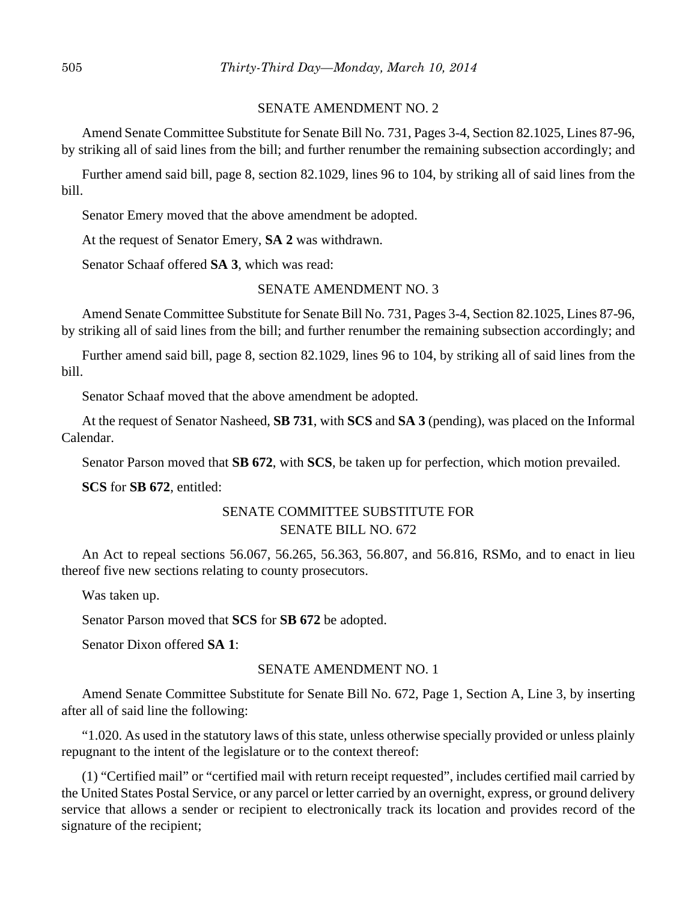#### SENATE AMENDMENT NO. 2

Amend Senate Committee Substitute for Senate Bill No. 731, Pages 3-4, Section 82.1025, Lines 87-96, by striking all of said lines from the bill; and further renumber the remaining subsection accordingly; and

Further amend said bill, page 8, section 82.1029, lines 96 to 104, by striking all of said lines from the bill.

Senator Emery moved that the above amendment be adopted.

At the request of Senator Emery, **SA 2** was withdrawn.

Senator Schaaf offered **SA 3**, which was read:

#### SENATE AMENDMENT NO. 3

Amend Senate Committee Substitute for Senate Bill No. 731, Pages 3-4, Section 82.1025, Lines 87-96, by striking all of said lines from the bill; and further renumber the remaining subsection accordingly; and

Further amend said bill, page 8, section 82.1029, lines 96 to 104, by striking all of said lines from the bill.

Senator Schaaf moved that the above amendment be adopted.

At the request of Senator Nasheed, **SB 731**, with **SCS** and **SA 3** (pending), was placed on the Informal Calendar.

Senator Parson moved that **SB 672**, with **SCS**, be taken up for perfection, which motion prevailed.

**SCS** for **SB 672**, entitled:

# SENATE COMMITTEE SUBSTITUTE FOR SENATE BILL NO. 672

An Act to repeal sections 56.067, 56.265, 56.363, 56.807, and 56.816, RSMo, and to enact in lieu thereof five new sections relating to county prosecutors.

Was taken up.

Senator Parson moved that **SCS** for **SB 672** be adopted.

Senator Dixon offered **SA 1**:

## SENATE AMENDMENT NO. 1

Amend Senate Committee Substitute for Senate Bill No. 672, Page 1, Section A, Line 3, by inserting after all of said line the following:

"1.020. As used in the statutory laws of this state, unless otherwise specially provided or unless plainly repugnant to the intent of the legislature or to the context thereof:

(1) "Certified mail" or "certified mail with return receipt requested", includes certified mail carried by the United States Postal Service, or any parcel or letter carried by an overnight, express, or ground delivery service that allows a sender or recipient to electronically track its location and provides record of the signature of the recipient;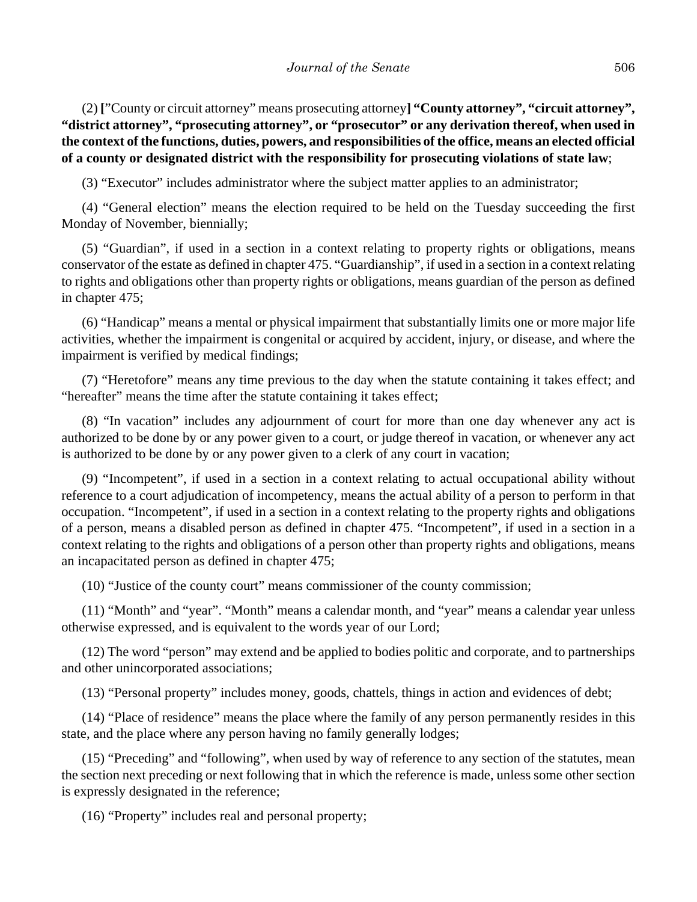(2) **[**"County or circuit attorney" means prosecuting attorney**] "County attorney", "circuit attorney", "district attorney", "prosecuting attorney", or "prosecutor" or any derivation thereof, when used in the context of the functions, duties, powers, and responsibilities of the office, means an elected official of a county or designated district with the responsibility for prosecuting violations of state law**;

(3) "Executor" includes administrator where the subject matter applies to an administrator;

(4) "General election" means the election required to be held on the Tuesday succeeding the first Monday of November, biennially;

(5) "Guardian", if used in a section in a context relating to property rights or obligations, means conservator of the estate as defined in chapter 475. "Guardianship", if used in a section in a context relating to rights and obligations other than property rights or obligations, means guardian of the person as defined in chapter 475;

(6) "Handicap" means a mental or physical impairment that substantially limits one or more major life activities, whether the impairment is congenital or acquired by accident, injury, or disease, and where the impairment is verified by medical findings;

(7) "Heretofore" means any time previous to the day when the statute containing it takes effect; and "hereafter" means the time after the statute containing it takes effect;

(8) "In vacation" includes any adjournment of court for more than one day whenever any act is authorized to be done by or any power given to a court, or judge thereof in vacation, or whenever any act is authorized to be done by or any power given to a clerk of any court in vacation;

(9) "Incompetent", if used in a section in a context relating to actual occupational ability without reference to a court adjudication of incompetency, means the actual ability of a person to perform in that occupation. "Incompetent", if used in a section in a context relating to the property rights and obligations of a person, means a disabled person as defined in chapter 475. "Incompetent", if used in a section in a context relating to the rights and obligations of a person other than property rights and obligations, means an incapacitated person as defined in chapter 475;

(10) "Justice of the county court" means commissioner of the county commission;

(11) "Month" and "year". "Month" means a calendar month, and "year" means a calendar year unless otherwise expressed, and is equivalent to the words year of our Lord;

(12) The word "person" may extend and be applied to bodies politic and corporate, and to partnerships and other unincorporated associations;

(13) "Personal property" includes money, goods, chattels, things in action and evidences of debt;

(14) "Place of residence" means the place where the family of any person permanently resides in this state, and the place where any person having no family generally lodges;

(15) "Preceding" and "following", when used by way of reference to any section of the statutes, mean the section next preceding or next following that in which the reference is made, unless some other section is expressly designated in the reference;

(16) "Property" includes real and personal property;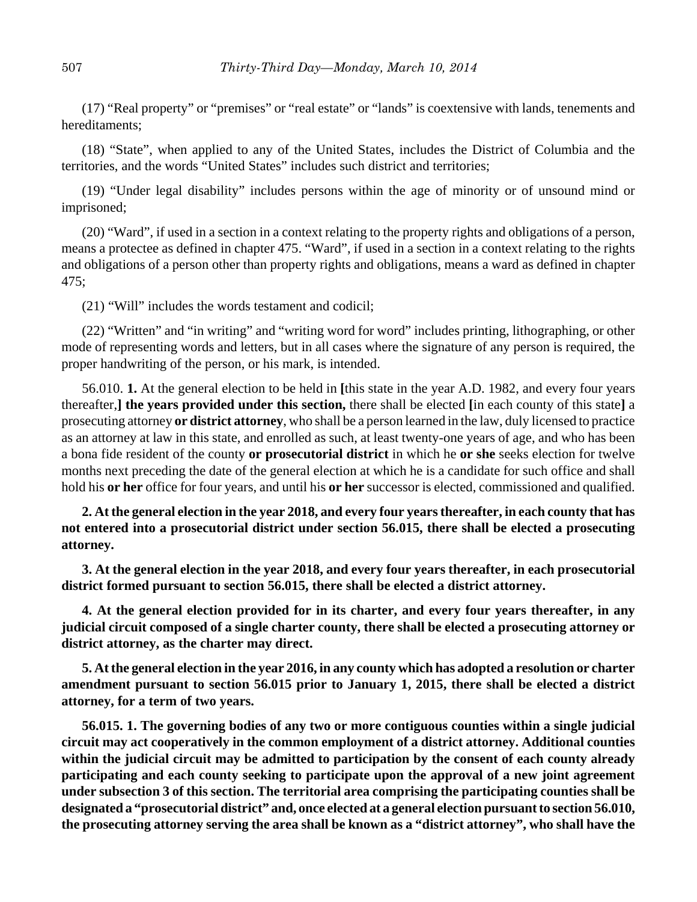(17) "Real property" or "premises" or "real estate" or "lands" is coextensive with lands, tenements and hereditaments;

(18) "State", when applied to any of the United States, includes the District of Columbia and the territories, and the words "United States" includes such district and territories;

(19) "Under legal disability" includes persons within the age of minority or of unsound mind or imprisoned;

(20) "Ward", if used in a section in a context relating to the property rights and obligations of a person, means a protectee as defined in chapter 475. "Ward", if used in a section in a context relating to the rights and obligations of a person other than property rights and obligations, means a ward as defined in chapter 475;

(21) "Will" includes the words testament and codicil;

(22) "Written" and "in writing" and "writing word for word" includes printing, lithographing, or other mode of representing words and letters, but in all cases where the signature of any person is required, the proper handwriting of the person, or his mark, is intended.

56.010. **1.** At the general election to be held in **[**this state in the year A.D. 1982, and every four years thereafter,**] the years provided under this section,** there shall be elected **[**in each county of this state**]** a prosecuting attorney **or district attorney**, who shall be a person learned in the law, duly licensed to practice as an attorney at law in this state, and enrolled as such, at least twenty-one years of age, and who has been a bona fide resident of the county **or prosecutorial district** in which he **or she** seeks election for twelve months next preceding the date of the general election at which he is a candidate for such office and shall hold his **or her** office for four years, and until his **or her** successor is elected, commissioned and qualified.

**2. At the general election in the year 2018, and every four years thereafter, in each county that has not entered into a prosecutorial district under section 56.015, there shall be elected a prosecuting attorney.**

**3. At the general election in the year 2018, and every four years thereafter, in each prosecutorial district formed pursuant to section 56.015, there shall be elected a district attorney.**

**4. At the general election provided for in its charter, and every four years thereafter, in any judicial circuit composed of a single charter county, there shall be elected a prosecuting attorney or district attorney, as the charter may direct.**

**5. At the general election in the year 2016, in any county which has adopted a resolution or charter amendment pursuant to section 56.015 prior to January 1, 2015, there shall be elected a district attorney, for a term of two years.**

**56.015. 1. The governing bodies of any two or more contiguous counties within a single judicial circuit may act cooperatively in the common employment of a district attorney. Additional counties within the judicial circuit may be admitted to participation by the consent of each county already participating and each county seeking to participate upon the approval of a new joint agreement under subsection 3 of this section. The territorial area comprising the participating counties shall be designated a "prosecutorial district" and, once elected at a general election pursuant to section 56.010, the prosecuting attorney serving the area shall be known as a "district attorney", who shall have the**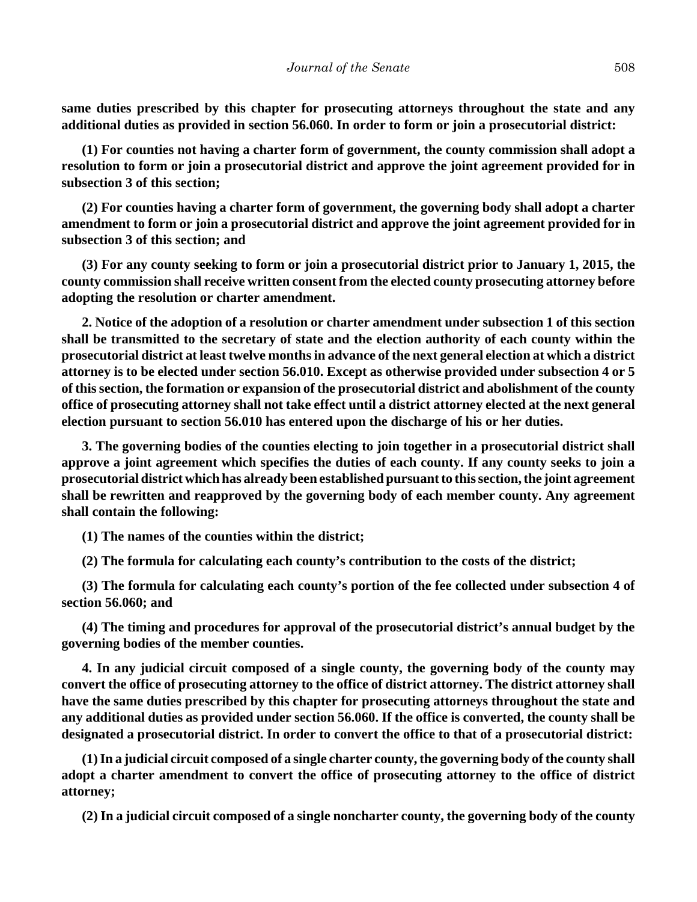**same duties prescribed by this chapter for prosecuting attorneys throughout the state and any additional duties as provided in section 56.060. In order to form or join a prosecutorial district:**

**(1) For counties not having a charter form of government, the county commission shall adopt a resolution to form or join a prosecutorial district and approve the joint agreement provided for in subsection 3 of this section;**

**(2) For counties having a charter form of government, the governing body shall adopt a charter amendment to form or join a prosecutorial district and approve the joint agreement provided for in subsection 3 of this section; and**

**(3) For any county seeking to form or join a prosecutorial district prior to January 1, 2015, the county commission shall receive written consent from the elected county prosecuting attorney before adopting the resolution or charter amendment.**

**2. Notice of the adoption of a resolution or charter amendment under subsection 1 of this section shall be transmitted to the secretary of state and the election authority of each county within the prosecutorial district at least twelve months in advance of the next general election at which a district attorney is to be elected under section 56.010. Except as otherwise provided under subsection 4 or 5 of this section, the formation or expansion of the prosecutorial district and abolishment of the county office of prosecuting attorney shall not take effect until a district attorney elected at the next general election pursuant to section 56.010 has entered upon the discharge of his or her duties.**

**3. The governing bodies of the counties electing to join together in a prosecutorial district shall approve a joint agreement which specifies the duties of each county. If any county seeks to join a prosecutorial district which has already been established pursuant to this section, the joint agreement shall be rewritten and reapproved by the governing body of each member county. Any agreement shall contain the following:**

**(1) The names of the counties within the district;**

**(2) The formula for calculating each county's contribution to the costs of the district;**

**(3) The formula for calculating each county's portion of the fee collected under subsection 4 of section 56.060; and**

**(4) The timing and procedures for approval of the prosecutorial district's annual budget by the governing bodies of the member counties.**

**4. In any judicial circuit composed of a single county, the governing body of the county may convert the office of prosecuting attorney to the office of district attorney. The district attorney shall have the same duties prescribed by this chapter for prosecuting attorneys throughout the state and any additional duties as provided under section 56.060. If the office is converted, the county shall be designated a prosecutorial district. In order to convert the office to that of a prosecutorial district:**

**(1) In a judicial circuit composed of a single charter county, the governing body of the county shall adopt a charter amendment to convert the office of prosecuting attorney to the office of district attorney;**

**(2) In a judicial circuit composed of a single noncharter county, the governing body of the county**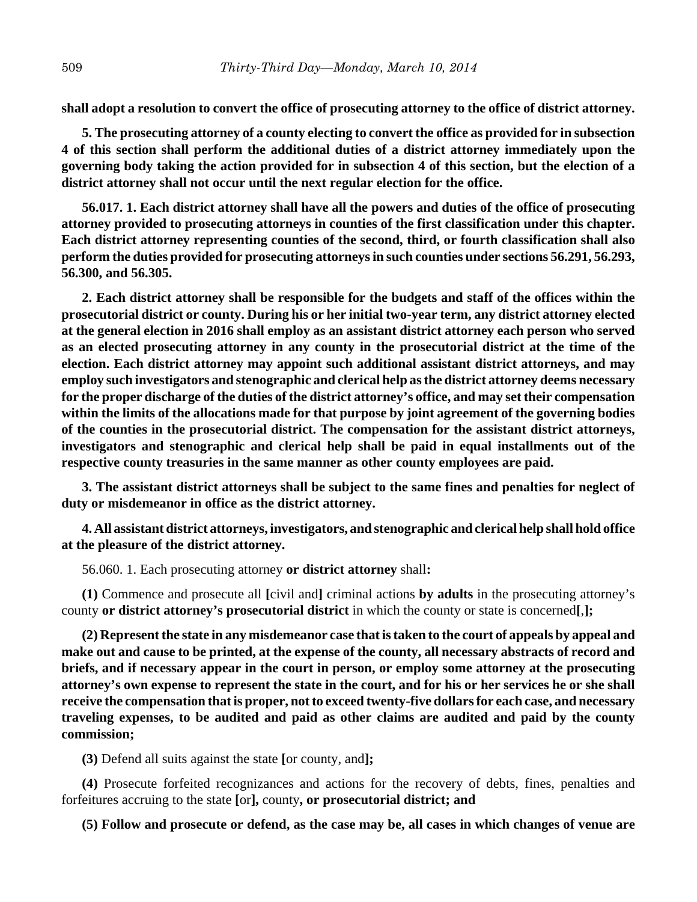**shall adopt a resolution to convert the office of prosecuting attorney to the office of district attorney.**

**5. The prosecuting attorney of a county electing to convert the office as provided for in subsection 4 of this section shall perform the additional duties of a district attorney immediately upon the governing body taking the action provided for in subsection 4 of this section, but the election of a district attorney shall not occur until the next regular election for the office.**

**56.017. 1. Each district attorney shall have all the powers and duties of the office of prosecuting attorney provided to prosecuting attorneys in counties of the first classification under this chapter. Each district attorney representing counties of the second, third, or fourth classification shall also perform the duties provided for prosecuting attorneys in such counties under sections 56.291, 56.293, 56.300, and 56.305.**

**2. Each district attorney shall be responsible for the budgets and staff of the offices within the prosecutorial district or county. During his or her initial two-year term, any district attorney elected at the general election in 2016 shall employ as an assistant district attorney each person who served as an elected prosecuting attorney in any county in the prosecutorial district at the time of the election. Each district attorney may appoint such additional assistant district attorneys, and may employ such investigators and stenographic and clerical help as the district attorney deems necessary for the proper discharge of the duties of the district attorney's office, and may set their compensation within the limits of the allocations made for that purpose by joint agreement of the governing bodies of the counties in the prosecutorial district. The compensation for the assistant district attorneys, investigators and stenographic and clerical help shall be paid in equal installments out of the respective county treasuries in the same manner as other county employees are paid.**

**3. The assistant district attorneys shall be subject to the same fines and penalties for neglect of duty or misdemeanor in office as the district attorney.**

**4. All assistant district attorneys, investigators, and stenographic and clerical help shall hold office at the pleasure of the district attorney.**

56.060. 1. Each prosecuting attorney **or district attorney** shall**:**

**(1)** Commence and prosecute all **[**civil and**]** criminal actions **by adults** in the prosecuting attorney's county **or district attorney's prosecutorial district** in which the county or state is concerned**[**,**];**

**(2) Represent the state in any misdemeanor case that is taken to the court of appeals by appeal and make out and cause to be printed, at the expense of the county, all necessary abstracts of record and briefs, and if necessary appear in the court in person, or employ some attorney at the prosecuting attorney's own expense to represent the state in the court, and for his or her services he or she shall receive the compensation that is proper, not to exceed twenty-five dollars for each case, and necessary traveling expenses, to be audited and paid as other claims are audited and paid by the county commission;**

**(3)** Defend all suits against the state **[**or county, and**];**

**(4)** Prosecute forfeited recognizances and actions for the recovery of debts, fines, penalties and forfeitures accruing to the state **[**or**],** county**, or prosecutorial district; and**

**(5) Follow and prosecute or defend, as the case may be, all cases in which changes of venue are**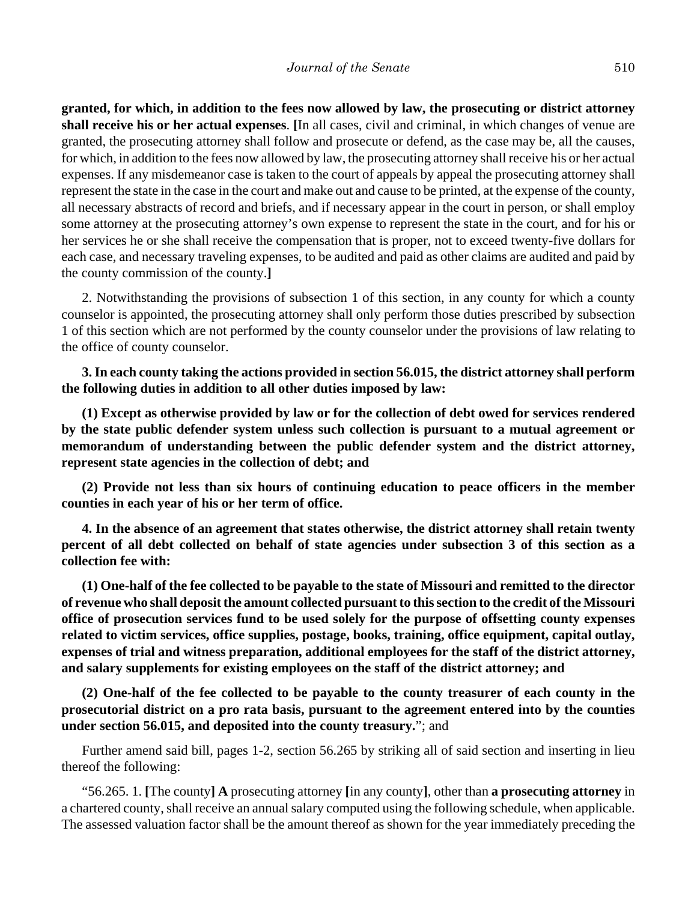**granted, for which, in addition to the fees now allowed by law, the prosecuting or district attorney shall receive his or her actual expenses**. **[**In all cases, civil and criminal, in which changes of venue are granted, the prosecuting attorney shall follow and prosecute or defend, as the case may be, all the causes, for which, in addition to the fees now allowed by law, the prosecuting attorney shall receive his or her actual expenses. If any misdemeanor case is taken to the court of appeals by appeal the prosecuting attorney shall represent the state in the case in the court and make out and cause to be printed, at the expense of the county, all necessary abstracts of record and briefs, and if necessary appear in the court in person, or shall employ some attorney at the prosecuting attorney's own expense to represent the state in the court, and for his or her services he or she shall receive the compensation that is proper, not to exceed twenty-five dollars for each case, and necessary traveling expenses, to be audited and paid as other claims are audited and paid by the county commission of the county.**]**

2. Notwithstanding the provisions of subsection 1 of this section, in any county for which a county counselor is appointed, the prosecuting attorney shall only perform those duties prescribed by subsection 1 of this section which are not performed by the county counselor under the provisions of law relating to the office of county counselor.

**3. In each county taking the actions provided in section 56.015, the district attorney shall perform the following duties in addition to all other duties imposed by law:**

**(1) Except as otherwise provided by law or for the collection of debt owed for services rendered by the state public defender system unless such collection is pursuant to a mutual agreement or memorandum of understanding between the public defender system and the district attorney, represent state agencies in the collection of debt; and**

**(2) Provide not less than six hours of continuing education to peace officers in the member counties in each year of his or her term of office.**

**4. In the absence of an agreement that states otherwise, the district attorney shall retain twenty percent of all debt collected on behalf of state agencies under subsection 3 of this section as a collection fee with:**

**(1) One-half of the fee collected to be payable to the state of Missouri and remitted to the director of revenue who shall deposit the amount collected pursuant to this section to the credit of the Missouri office of prosecution services fund to be used solely for the purpose of offsetting county expenses related to victim services, office supplies, postage, books, training, office equipment, capital outlay, expenses of trial and witness preparation, additional employees for the staff of the district attorney, and salary supplements for existing employees on the staff of the district attorney; and**

**(2) One-half of the fee collected to be payable to the county treasurer of each county in the prosecutorial district on a pro rata basis, pursuant to the agreement entered into by the counties under section 56.015, and deposited into the county treasury.**"; and

Further amend said bill, pages 1-2, section 56.265 by striking all of said section and inserting in lieu thereof the following:

"56.265. 1. **[**The county**] A** prosecuting attorney **[**in any county**]**, other than **a prosecuting attorney** in a chartered county, shall receive an annual salary computed using the following schedule, when applicable. The assessed valuation factor shall be the amount thereof as shown for the year immediately preceding the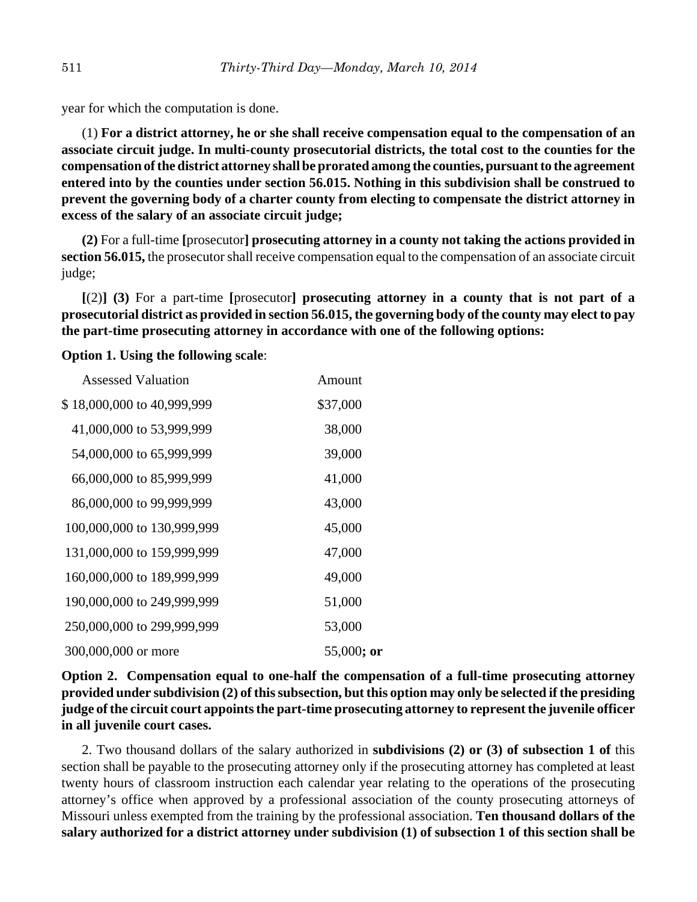year for which the computation is done.

(1) **For a district attorney, he or she shall receive compensation equal to the compensation of an associate circuit judge. In multi-county prosecutorial districts, the total cost to the counties for the compensation of the district attorney shall be prorated among the counties, pursuant to the agreement entered into by the counties under section 56.015. Nothing in this subdivision shall be construed to prevent the governing body of a charter county from electing to compensate the district attorney in excess of the salary of an associate circuit judge;**

**(2)** For a full-time **[**prosecutor**] prosecuting attorney in a county not taking the actions provided in section 56.015,** the prosecutor shall receive compensation equal to the compensation of an associate circuit judge;

**[**(2)**] (3)** For a part-time **[**prosecutor**] prosecuting attorney in a county that is not part of a prosecutorial district as provided in section 56.015, the governing body of the county may elect to pay the part-time prosecuting attorney in accordance with one of the following options:**

**Option 1. Using the following scale**:

| <b>Assessed Valuation</b>  | Amount       |
|----------------------------|--------------|
| \$18,000,000 to 40,999,999 | \$37,000     |
| 41,000,000 to 53,999,999   | 38,000       |
| 54,000,000 to 65,999,999   | 39,000       |
| 66,000,000 to 85,999,999   | 41,000       |
| 86,000,000 to 99,999,999   | 43,000       |
| 100,000,000 to 130,999,999 | 45,000       |
| 131,000,000 to 159,999,999 | 47,000       |
| 160,000,000 to 189,999,999 | 49,000       |
| 190,000,000 to 249,999,999 | 51,000       |
| 250,000,000 to 299,999,999 | 53,000       |
| 300,000,000 or more        | $55,000;$ or |

**Option 2. Compensation equal to one-half the compensation of a full-time prosecuting attorney provided under subdivision (2) of this subsection, but this option may only be selected if the presiding judge of the circuit court appoints the part-time prosecuting attorney to represent the juvenile officer in all juvenile court cases.**

2. Two thousand dollars of the salary authorized in **subdivisions (2) or (3) of subsection 1 of** this section shall be payable to the prosecuting attorney only if the prosecuting attorney has completed at least twenty hours of classroom instruction each calendar year relating to the operations of the prosecuting attorney's office when approved by a professional association of the county prosecuting attorneys of Missouri unless exempted from the training by the professional association. **Ten thousand dollars of the salary authorized for a district attorney under subdivision (1) of subsection 1 of this section shall be**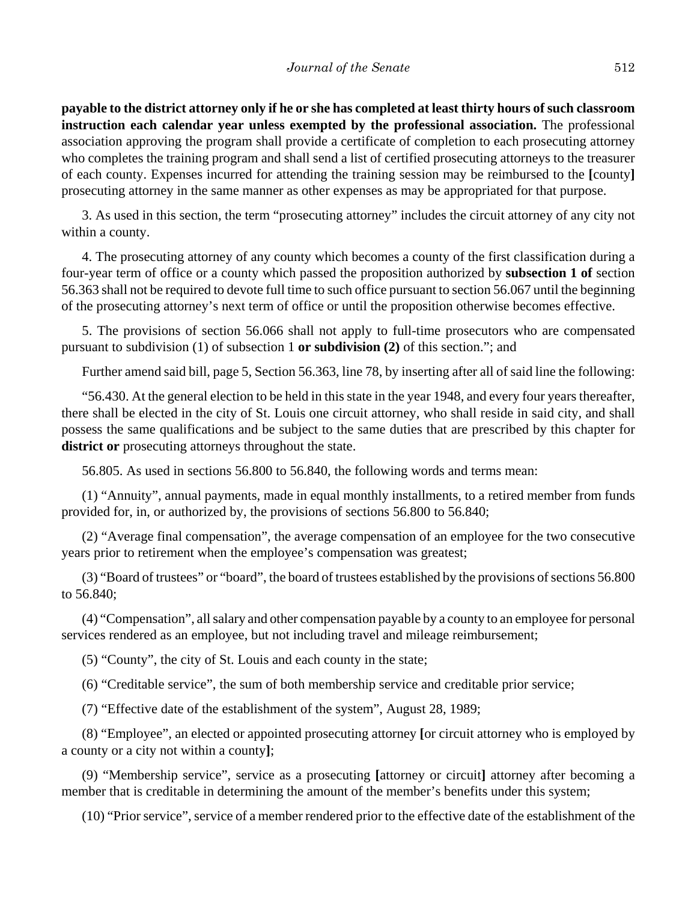**payable to the district attorney only if he or she has completed at least thirty hours of such classroom instruction each calendar year unless exempted by the professional association.** The professional association approving the program shall provide a certificate of completion to each prosecuting attorney who completes the training program and shall send a list of certified prosecuting attorneys to the treasurer of each county. Expenses incurred for attending the training session may be reimbursed to the **[**county**]** prosecuting attorney in the same manner as other expenses as may be appropriated for that purpose.

3. As used in this section, the term "prosecuting attorney" includes the circuit attorney of any city not within a county.

4. The prosecuting attorney of any county which becomes a county of the first classification during a four-year term of office or a county which passed the proposition authorized by **subsection 1 of** section 56.363 shall not be required to devote full time to such office pursuant to section 56.067 until the beginning of the prosecuting attorney's next term of office or until the proposition otherwise becomes effective.

5. The provisions of section 56.066 shall not apply to full-time prosecutors who are compensated pursuant to subdivision (1) of subsection 1 **or subdivision (2)** of this section."; and

Further amend said bill, page 5, Section 56.363, line 78, by inserting after all of said line the following:

"56.430. At the general election to be held in this state in the year 1948, and every four years thereafter, there shall be elected in the city of St. Louis one circuit attorney, who shall reside in said city, and shall possess the same qualifications and be subject to the same duties that are prescribed by this chapter for district or prosecuting attorneys throughout the state.

56.805. As used in sections 56.800 to 56.840, the following words and terms mean:

(1) "Annuity", annual payments, made in equal monthly installments, to a retired member from funds provided for, in, or authorized by, the provisions of sections 56.800 to 56.840;

(2) "Average final compensation", the average compensation of an employee for the two consecutive years prior to retirement when the employee's compensation was greatest;

(3) "Board of trustees" or "board", the board of trustees established by the provisions of sections 56.800 to 56.840;

(4) "Compensation", all salary and other compensation payable by a county to an employee for personal services rendered as an employee, but not including travel and mileage reimbursement;

(5) "County", the city of St. Louis and each county in the state;

(6) "Creditable service", the sum of both membership service and creditable prior service;

(7) "Effective date of the establishment of the system", August 28, 1989;

(8) "Employee", an elected or appointed prosecuting attorney **[**or circuit attorney who is employed by a county or a city not within a county**]**;

(9) "Membership service", service as a prosecuting **[**attorney or circuit**]** attorney after becoming a member that is creditable in determining the amount of the member's benefits under this system;

(10) "Prior service", service of a member rendered prior to the effective date of the establishment of the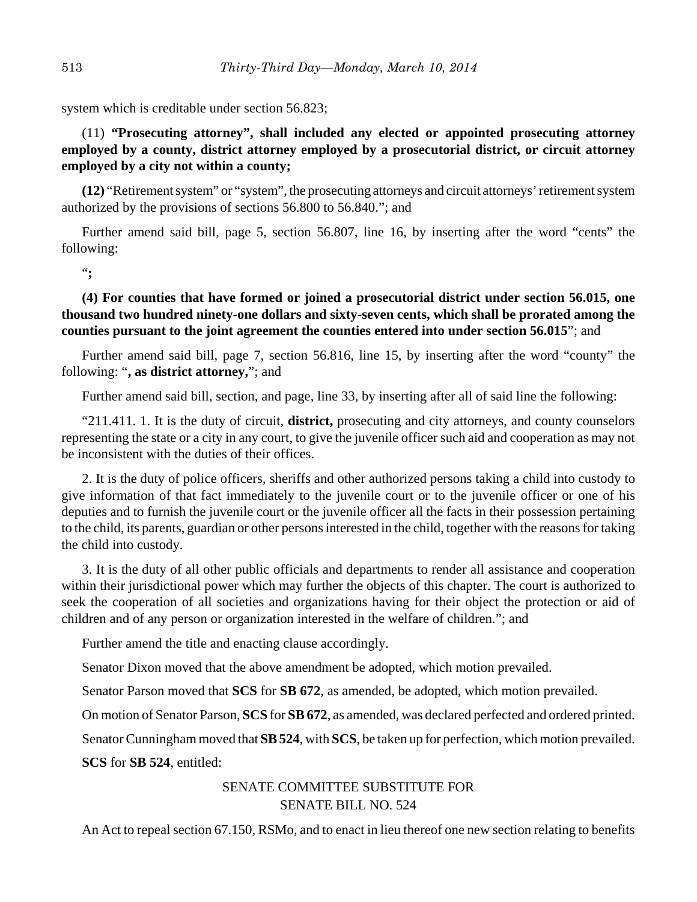system which is creditable under section 56.823;

# (11) **"Prosecuting attorney", shall included any elected or appointed prosecuting attorney employed by a county, district attorney employed by a prosecutorial district, or circuit attorney employed by a city not within a county;**

**(12)** "Retirement system" or "system", the prosecuting attorneys and circuit attorneys' retirement system authorized by the provisions of sections 56.800 to 56.840."; and

Further amend said bill, page 5, section 56.807, line 16, by inserting after the word "cents" the following:

"**;**

# **(4) For counties that have formed or joined a prosecutorial district under section 56.015, one thousand two hundred ninety-one dollars and sixty-seven cents, which shall be prorated among the counties pursuant to the joint agreement the counties entered into under section 56.015**"; and

Further amend said bill, page 7, section 56.816, line 15, by inserting after the word "county" the following: "**, as district attorney,**"; and

Further amend said bill, section, and page, line 33, by inserting after all of said line the following:

"211.411. 1. It is the duty of circuit, **district,** prosecuting and city attorneys, and county counselors representing the state or a city in any court, to give the juvenile officer such aid and cooperation as may not be inconsistent with the duties of their offices.

2. It is the duty of police officers, sheriffs and other authorized persons taking a child into custody to give information of that fact immediately to the juvenile court or to the juvenile officer or one of his deputies and to furnish the juvenile court or the juvenile officer all the facts in their possession pertaining to the child, its parents, guardian or other persons interested in the child, together with the reasons for taking the child into custody.

3. It is the duty of all other public officials and departments to render all assistance and cooperation within their jurisdictional power which may further the objects of this chapter. The court is authorized to seek the cooperation of all societies and organizations having for their object the protection or aid of children and of any person or organization interested in the welfare of children."; and

Further amend the title and enacting clause accordingly.

Senator Dixon moved that the above amendment be adopted, which motion prevailed.

Senator Parson moved that **SCS** for **SB 672**, as amended, be adopted, which motion prevailed.

On motion of Senator Parson, **SCS** for **SB 672**, as amended, was declared perfected and ordered printed.

Senator Cunningham moved that **SB 524**, with **SCS**, be taken up for perfection, which motion prevailed.

**SCS** for **SB 524**, entitled:

# SENATE COMMITTEE SUBSTITUTE FOR SENATE BILL NO. 524

An Act to repeal section 67.150, RSMo, and to enact in lieu thereof one new section relating to benefits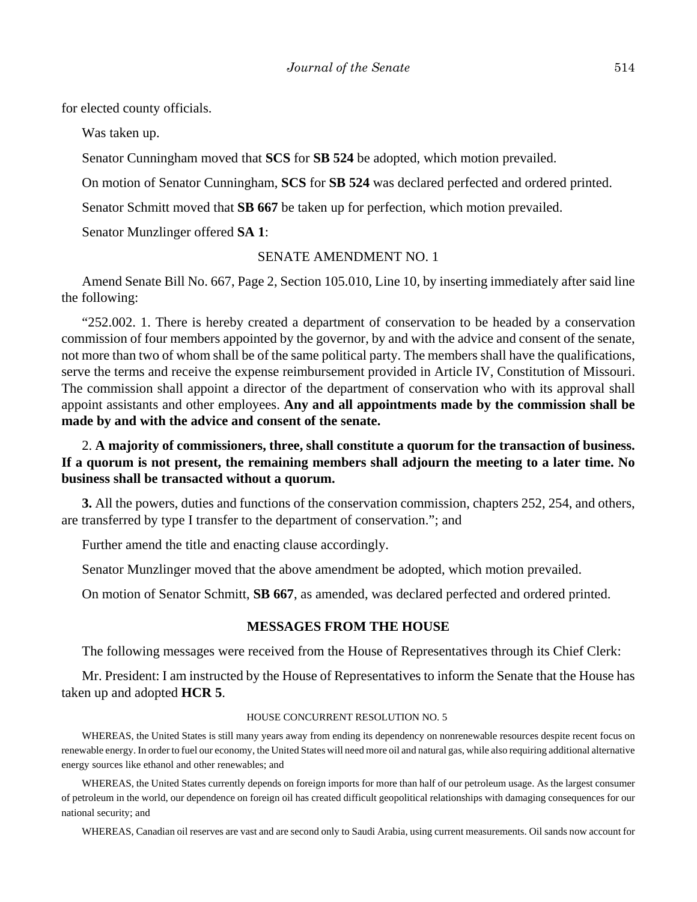for elected county officials.

Was taken up.

Senator Cunningham moved that **SCS** for **SB 524** be adopted, which motion prevailed.

On motion of Senator Cunningham, **SCS** for **SB 524** was declared perfected and ordered printed.

Senator Schmitt moved that **SB 667** be taken up for perfection, which motion prevailed.

Senator Munzlinger offered **SA 1**:

## SENATE AMENDMENT NO. 1

Amend Senate Bill No. 667, Page 2, Section 105.010, Line 10, by inserting immediately after said line the following:

"252.002. 1. There is hereby created a department of conservation to be headed by a conservation commission of four members appointed by the governor, by and with the advice and consent of the senate, not more than two of whom shall be of the same political party. The members shall have the qualifications, serve the terms and receive the expense reimbursement provided in Article IV, Constitution of Missouri. The commission shall appoint a director of the department of conservation who with its approval shall appoint assistants and other employees. **Any and all appointments made by the commission shall be made by and with the advice and consent of the senate.**

# 2. **A majority of commissioners, three, shall constitute a quorum for the transaction of business. If a quorum is not present, the remaining members shall adjourn the meeting to a later time. No business shall be transacted without a quorum.**

**3.** All the powers, duties and functions of the conservation commission, chapters 252, 254, and others, are transferred by type I transfer to the department of conservation."; and

Further amend the title and enacting clause accordingly.

Senator Munzlinger moved that the above amendment be adopted, which motion prevailed.

On motion of Senator Schmitt, **SB 667**, as amended, was declared perfected and ordered printed.

## **MESSAGES FROM THE HOUSE**

The following messages were received from the House of Representatives through its Chief Clerk:

Mr. President: I am instructed by the House of Representatives to inform the Senate that the House has taken up and adopted **HCR 5**.

#### HOUSE CONCURRENT RESOLUTION NO. 5

WHEREAS, the United States is still many years away from ending its dependency on nonrenewable resources despite recent focus on renewable energy. In order to fuel our economy, the United States will need more oil and natural gas, while also requiring additional alternative energy sources like ethanol and other renewables; and

WHEREAS, the United States currently depends on foreign imports for more than half of our petroleum usage. As the largest consumer of petroleum in the world, our dependence on foreign oil has created difficult geopolitical relationships with damaging consequences for our national security; and

WHEREAS, Canadian oil reserves are vast and are second only to Saudi Arabia, using current measurements. Oil sands now account for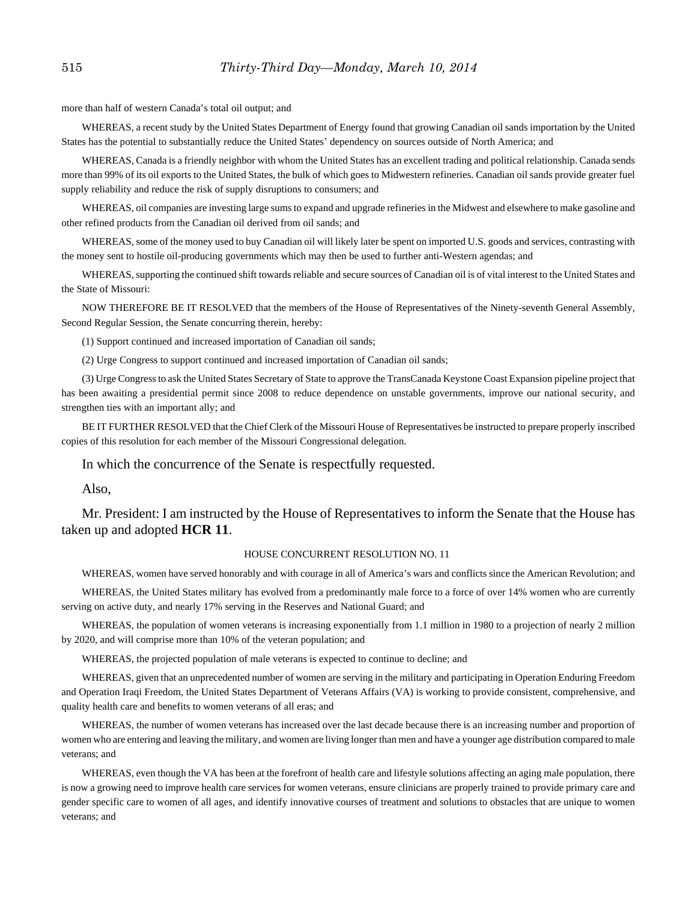more than half of western Canada's total oil output; and

WHEREAS, a recent study by the United States Department of Energy found that growing Canadian oil sands importation by the United States has the potential to substantially reduce the United States' dependency on sources outside of North America; and

WHEREAS, Canada is a friendly neighbor with whom the United States has an excellent trading and political relationship. Canada sends more than 99% of its oil exports to the United States, the bulk of which goes to Midwestern refineries. Canadian oil sands provide greater fuel supply reliability and reduce the risk of supply disruptions to consumers; and

WHEREAS, oil companies are investing large sums to expand and upgrade refineries in the Midwest and elsewhere to make gasoline and other refined products from the Canadian oil derived from oil sands; and

WHEREAS, some of the money used to buy Canadian oil will likely later be spent on imported U.S. goods and services, contrasting with the money sent to hostile oil-producing governments which may then be used to further anti-Western agendas; and

WHEREAS, supporting the continued shift towards reliable and secure sources of Canadian oil is of vital interest to the United States and the State of Missouri:

NOW THEREFORE BE IT RESOLVED that the members of the House of Representatives of the Ninety-seventh General Assembly, Second Regular Session, the Senate concurring therein, hereby:

(1) Support continued and increased importation of Canadian oil sands;

(2) Urge Congress to support continued and increased importation of Canadian oil sands;

(3) Urge Congress to ask the United States Secretary of State to approve the TransCanada Keystone Coast Expansion pipeline project that has been awaiting a presidential permit since 2008 to reduce dependence on unstable governments, improve our national security, and strengthen ties with an important ally; and

BE IT FURTHER RESOLVED that the Chief Clerk of the Missouri House of Representatives be instructed to prepare properly inscribed copies of this resolution for each member of the Missouri Congressional delegation.

In which the concurrence of the Senate is respectfully requested.

Also,

Mr. President: I am instructed by the House of Representatives to inform the Senate that the House has taken up and adopted **HCR 11**.

#### HOUSE CONCURRENT RESOLUTION NO. 11

WHEREAS, women have served honorably and with courage in all of America's wars and conflicts since the American Revolution; and

WHEREAS, the United States military has evolved from a predominantly male force to a force of over 14% women who are currently serving on active duty, and nearly 17% serving in the Reserves and National Guard; and

WHEREAS, the population of women veterans is increasing exponentially from 1.1 million in 1980 to a projection of nearly 2 million by 2020, and will comprise more than 10% of the veteran population; and

WHEREAS, the projected population of male veterans is expected to continue to decline; and

WHEREAS, given that an unprecedented number of women are serving in the military and participating in Operation Enduring Freedom and Operation Iraqi Freedom, the United States Department of Veterans Affairs (VA) is working to provide consistent, comprehensive, and quality health care and benefits to women veterans of all eras; and

WHEREAS, the number of women veterans has increased over the last decade because there is an increasing number and proportion of women who are entering and leaving the military, and women are living longer than men and have a younger age distribution compared to male veterans; and

WHEREAS, even though the VA has been at the forefront of health care and lifestyle solutions affecting an aging male population, there is now a growing need to improve health care services for women veterans, ensure clinicians are properly trained to provide primary care and gender specific care to women of all ages, and identify innovative courses of treatment and solutions to obstacles that are unique to women veterans; and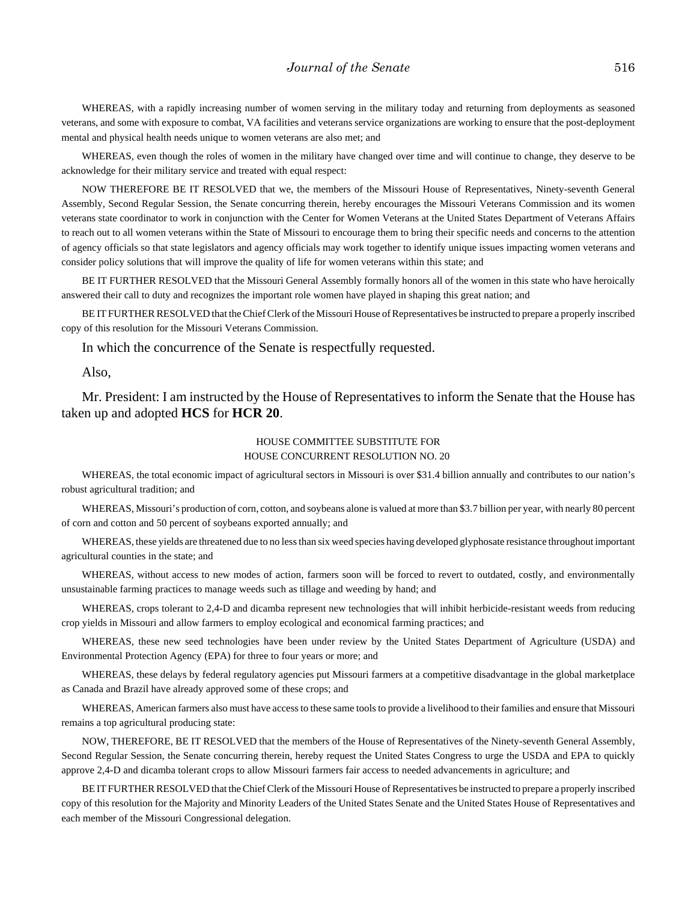WHEREAS, with a rapidly increasing number of women serving in the military today and returning from deployments as seasoned veterans, and some with exposure to combat, VA facilities and veterans service organizations are working to ensure that the post-deployment mental and physical health needs unique to women veterans are also met; and

WHEREAS, even though the roles of women in the military have changed over time and will continue to change, they deserve to be acknowledge for their military service and treated with equal respect:

NOW THEREFORE BE IT RESOLVED that we, the members of the Missouri House of Representatives, Ninety-seventh General Assembly, Second Regular Session, the Senate concurring therein, hereby encourages the Missouri Veterans Commission and its women veterans state coordinator to work in conjunction with the Center for Women Veterans at the United States Department of Veterans Affairs to reach out to all women veterans within the State of Missouri to encourage them to bring their specific needs and concerns to the attention of agency officials so that state legislators and agency officials may work together to identify unique issues impacting women veterans and consider policy solutions that will improve the quality of life for women veterans within this state; and

BE IT FURTHER RESOLVED that the Missouri General Assembly formally honors all of the women in this state who have heroically answered their call to duty and recognizes the important role women have played in shaping this great nation; and

BE IT FURTHER RESOLVED that the Chief Clerk of the Missouri House of Representatives be instructed to prepare a properly inscribed copy of this resolution for the Missouri Veterans Commission.

In which the concurrence of the Senate is respectfully requested.

Also,

Mr. President: I am instructed by the House of Representatives to inform the Senate that the House has taken up and adopted **HCS** for **HCR 20**.

#### HOUSE COMMITTEE SUBSTITUTE FOR HOUSE CONCURRENT RESOLUTION NO. 20

WHEREAS, the total economic impact of agricultural sectors in Missouri is over \$31.4 billion annually and contributes to our nation's robust agricultural tradition; and

WHEREAS, Missouri's production of corn, cotton, and soybeans alone is valued at more than \$3.7 billion per year, with nearly 80 percent of corn and cotton and 50 percent of soybeans exported annually; and

WHEREAS, these yields are threatened due to no less than six weed species having developed glyphosate resistance throughout important agricultural counties in the state; and

WHEREAS, without access to new modes of action, farmers soon will be forced to revert to outdated, costly, and environmentally unsustainable farming practices to manage weeds such as tillage and weeding by hand; and

WHEREAS, crops tolerant to 2,4-D and dicamba represent new technologies that will inhibit herbicide-resistant weeds from reducing crop yields in Missouri and allow farmers to employ ecological and economical farming practices; and

WHEREAS, these new seed technologies have been under review by the United States Department of Agriculture (USDA) and Environmental Protection Agency (EPA) for three to four years or more; and

WHEREAS, these delays by federal regulatory agencies put Missouri farmers at a competitive disadvantage in the global marketplace as Canada and Brazil have already approved some of these crops; and

WHEREAS, American farmers also must have access to these same tools to provide a livelihood to their families and ensure that Missouri remains a top agricultural producing state:

NOW, THEREFORE, BE IT RESOLVED that the members of the House of Representatives of the Ninety-seventh General Assembly, Second Regular Session, the Senate concurring therein, hereby request the United States Congress to urge the USDA and EPA to quickly approve 2,4-D and dicamba tolerant crops to allow Missouri farmers fair access to needed advancements in agriculture; and

BE IT FURTHER RESOLVED that the Chief Clerk of the Missouri House of Representatives be instructed to prepare a properly inscribed copy of this resolution for the Majority and Minority Leaders of the United States Senate and the United States House of Representatives and each member of the Missouri Congressional delegation.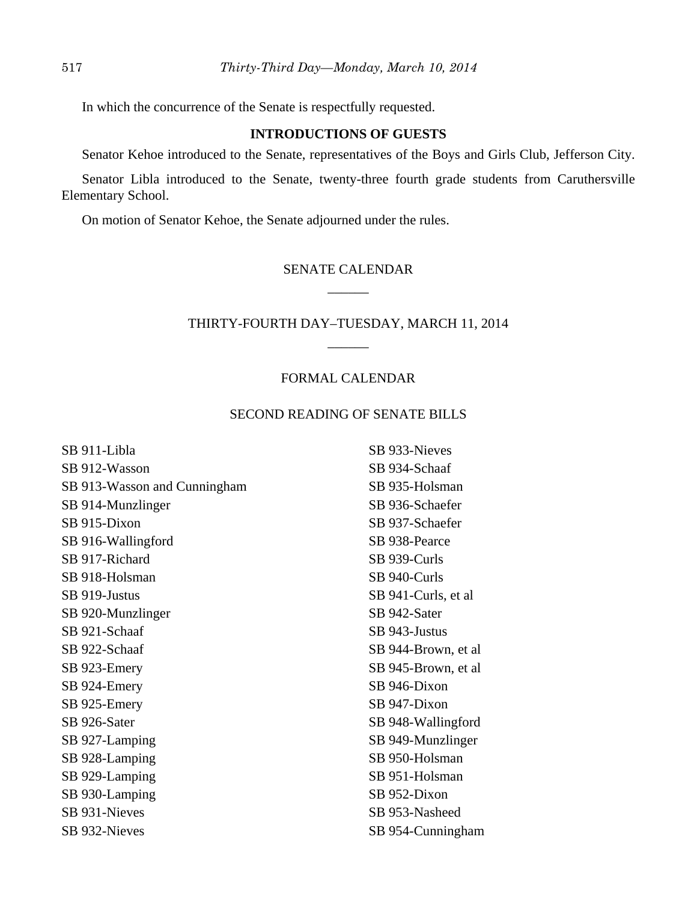In which the concurrence of the Senate is respectfully requested.

## **INTRODUCTIONS OF GUESTS**

Senator Kehoe introduced to the Senate, representatives of the Boys and Girls Club, Jefferson City.

Senator Libla introduced to the Senate, twenty-three fourth grade students from Caruthersville Elementary School.

On motion of Senator Kehoe, the Senate adjourned under the rules.

# SENATE CALENDAR \_\_\_\_\_\_

# THIRTY-FOURTH DAY–TUESDAY, MARCH 11, 2014 \_\_\_\_\_\_

# FORMAL CALENDAR

# SECOND READING OF SENATE BILLS

| SB 911-Libla                 | SB 933-Nieves        |
|------------------------------|----------------------|
| SB 912-Wasson                | SB 934-Schaaf        |
| SB 913-Wasson and Cunningham | SB 935-Holsman       |
| SB 914-Munzlinger            | SB 936-Schaefer      |
| SB 915-Dixon                 | SB 937-Schaefer      |
| SB 916-Wallingford           | SB 938-Pearce        |
| SB 917-Richard               | SB 939-Curls         |
| SB 918-Holsman               | SB 940-Curls         |
| SB 919-Justus                | SB 941-Curls, et al. |
| SB 920-Munzlinger            | SB 942-Sater         |
| SB 921-Schaaf                | SB 943-Justus        |
| SB 922-Schaaf                | SB 944-Brown, et al  |
| SB 923-Emery                 | SB 945-Brown, et al  |
| SB 924-Emery                 | SB 946-Dixon         |
| SB 925-Emery                 | SB 947-Dixon         |
| SB 926-Sater                 | SB 948-Wallingford   |
| SB 927-Lamping               | SB 949-Munzlinger    |
| SB 928-Lamping               | SB 950-Holsman       |
| SB 929-Lamping               | SB 951-Holsman       |
| SB 930-Lamping               | SB 952-Dixon         |
| SB 931-Nieves                | SB 953-Nasheed       |
| SB 932-Nieves                | SB 954-Cunningham    |
|                              |                      |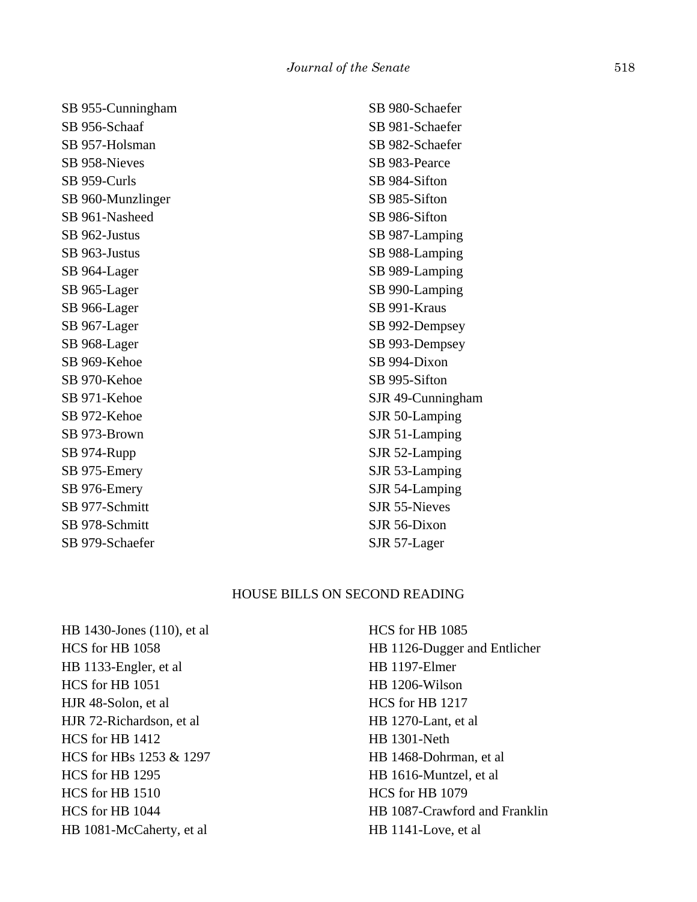SB 955-Cunningham SB 956-Schaaf SB 957-Holsman SB 958-Nieves SB 959-Curls SB 960-Munzlinger SB 961-Nasheed SB 962-Justus SB 963-Justus SB 964-Lager SB 965-Lager SB 966-Lager SB 967-Lager SB 968-Lager SB 969-Kehoe SB 970-Kehoe SB 971-Kehoe SB 972-Kehoe SB 973-Brown SB 974-Rupp SB 975-Emery SB 976-Emery SB 977-Schmitt SB 978-Schmitt SB 979-Schaefer

SB 980-Schaefer SB 981-Schaefer SB 982-Schaefer SB 983-Pearce SB 984-Sifton SB 985-Sifton SB 986-Sifton SB 987-Lamping SB 988-Lamping SB 989-Lamping SB 990-Lamping SB 991-Kraus SB 992-Dempsey SB 993-Dempsey SB 994-Dixon SB 995-Sifton SJR 49-Cunningham SJR 50-Lamping SJR 51-Lamping SJR 52-Lamping SJR 53-Lamping SJR 54-Lamping SJR 55-Nieves SJR 56-Dixon SJR 57-Lager

#### HOUSE BILLS ON SECOND READING

HB 1430-Jones (110), et al HCS for HB 1058 HB 1133-Engler, et al HCS for HB 1051 HJR 48-Solon, et al HJR 72-Richardson, et al HCS for HB 1412 HCS for HBs 1253 & 1297 HCS for HB 1295 HCS for HB 1510 HCS for HB 1044 HB 1081-McCaherty, et al

HCS for HB 1085 HB 1126-Dugger and Entlicher HB 1197-Elmer HB 1206-Wilson HCS for HB 1217 HB 1270-Lant, et al HB 1301-Neth HB 1468-Dohrman, et al HB 1616-Muntzel, et al HCS for HB 1079 HB 1087-Crawford and Franklin HB 1141-Love, et al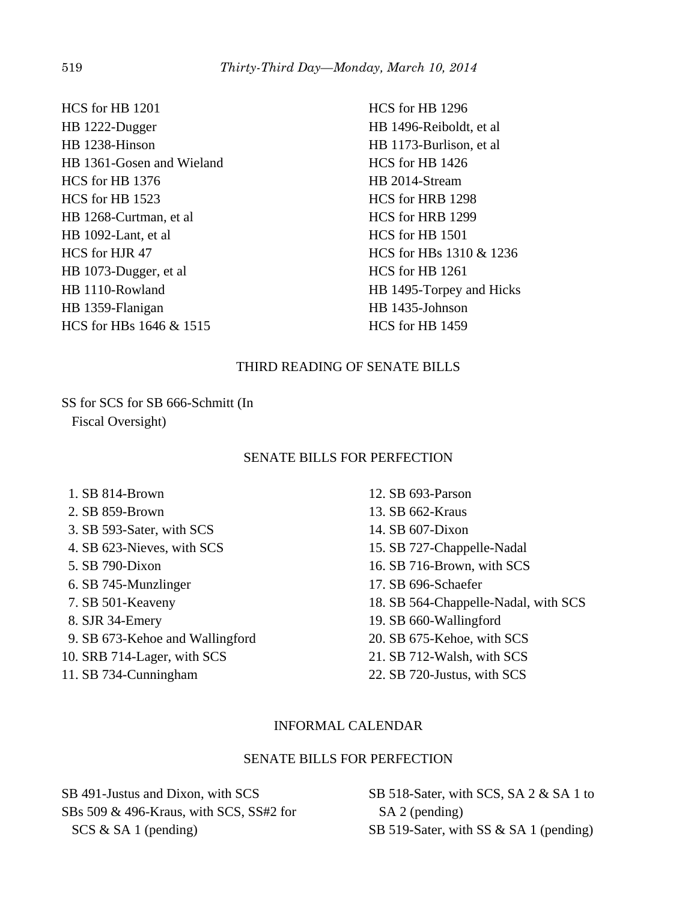HCS for HB 1201 HB 1222-Dugger HB 1238-Hinson HB 1361-Gosen and Wieland HCS for HB 1376 HCS for HB 1523 HB 1268-Curtman, et al HB 1092-Lant, et al HCS for HJR 47 HB 1073-Dugger, et al HB 1110-Rowland HB 1359-Flanigan HCS for HBs 1646 & 1515

HCS for HB 1296 HB 1496-Reiboldt, et al HB 1173-Burlison, et al HCS for HB 1426 HB 2014-Stream HCS for HRB 1298 HCS for HRB 1299 HCS for HB 1501 HCS for HBs 1310 & 1236 HCS for HB 1261 HB 1495-Torpey and Hicks HB 1435-Johnson HCS for HB 1459

## THIRD READING OF SENATE BILLS

SS for SCS for SB 666-Schmitt (In Fiscal Oversight)

## SENATE BILLS FOR PERFECTION

- 1. SB 814-Brown
- 2. SB 859-Brown
- 3. SB 593-Sater, with SCS
- 4. SB 623-Nieves, with SCS
- 5. SB 790-Dixon
- 6. SB 745-Munzlinger
- 7. SB 501-Keaveny
- 8. SJR 34-Emery
- 9. SB 673-Kehoe and Wallingford
- 10. SRB 714-Lager, with SCS
- 11. SB 734-Cunningham
- 12. SB 693-Parson 13. SB 662-Kraus 14. SB 607-Dixon 15. SB 727-Chappelle-Nadal 16. SB 716-Brown, with SCS 17. SB 696-Schaefer 18. SB 564-Chappelle-Nadal, with SCS 19. SB 660-Wallingford 20. SB 675-Kehoe, with SCS 21. SB 712-Walsh, with SCS
- 22. SB 720-Justus, with SCS

## INFORMAL CALENDAR

## SENATE BILLS FOR PERFECTION

SB 491-Justus and Dixon, with SCS SBs 509 & 496-Kraus, with SCS, SS#2 for SCS & SA 1 (pending)

SB 518-Sater, with SCS, SA 2 & SA 1 to SA 2 (pending) SB 519-Sater, with SS & SA 1 (pending)